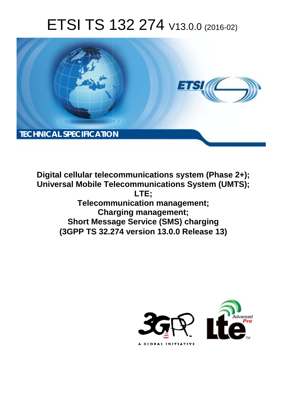# ETSI TS 132 274 V13.0.0 (2016-02)



**Digital cellular telecommunications system (Phase 2+); Universal Mobile Tel elecommunications System ( (UMTS); Telecomm munication management; Char arging management; Short Messa sage Service (SMS) charging (3GPP TS 32.2 .274 version 13.0.0 Release 13 13) LTE;** 

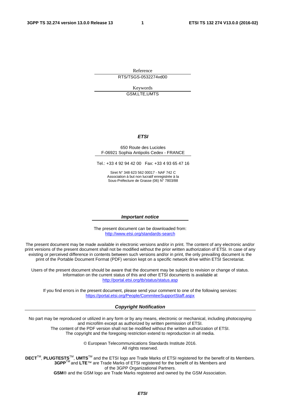Reference RTS/TSGS-0532274vd00

> Keywords GSM,LTE,UMTS

#### *ETSI*

#### 650 Route des Lucioles F-06921 Sophia Antipolis Cedex - FRANCE

Tel.: +33 4 92 94 42 00 Fax: +33 4 93 65 47 16

Siret N° 348 623 562 00017 - NAF 742 C Association à but non lucratif enregistrée à la Sous-Préfecture de Grasse (06) N° 7803/88

#### *Important notice*

The present document can be downloaded from: <http://www.etsi.org/standards-search>

The present document may be made available in electronic versions and/or in print. The content of any electronic and/or print versions of the present document shall not be modified without the prior written authorization of ETSI. In case of any existing or perceived difference in contents between such versions and/or in print, the only prevailing document is the print of the Portable Document Format (PDF) version kept on a specific network drive within ETSI Secretariat.

Users of the present document should be aware that the document may be subject to revision or change of status. Information on the current status of this and other ETSI documents is available at <http://portal.etsi.org/tb/status/status.asp>

If you find errors in the present document, please send your comment to one of the following services: <https://portal.etsi.org/People/CommiteeSupportStaff.aspx>

#### *Copyright Notification*

No part may be reproduced or utilized in any form or by any means, electronic or mechanical, including photocopying and microfilm except as authorized by written permission of ETSI.

The content of the PDF version shall not be modified without the written authorization of ETSI. The copyright and the foregoing restriction extend to reproduction in all media.

> © European Telecommunications Standards Institute 2016. All rights reserved.

**DECT**TM, **PLUGTESTS**TM, **UMTS**TM and the ETSI logo are Trade Marks of ETSI registered for the benefit of its Members. **3GPP**TM and **LTE**™ are Trade Marks of ETSI registered for the benefit of its Members and of the 3GPP Organizational Partners.

**GSM**® and the GSM logo are Trade Marks registered and owned by the GSM Association.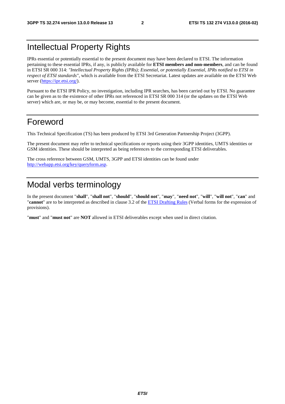### Intellectual Property Rights

IPRs essential or potentially essential to the present document may have been declared to ETSI. The information pertaining to these essential IPRs, if any, is publicly available for **ETSI members and non-members**, and can be found in ETSI SR 000 314: *"Intellectual Property Rights (IPRs); Essential, or potentially Essential, IPRs notified to ETSI in respect of ETSI standards"*, which is available from the ETSI Secretariat. Latest updates are available on the ETSI Web server [\(https://ipr.etsi.org/\)](https://ipr.etsi.org/).

Pursuant to the ETSI IPR Policy, no investigation, including IPR searches, has been carried out by ETSI. No guarantee can be given as to the existence of other IPRs not referenced in ETSI SR 000 314 (or the updates on the ETSI Web server) which are, or may be, or may become, essential to the present document.

### Foreword

This Technical Specification (TS) has been produced by ETSI 3rd Generation Partnership Project (3GPP).

The present document may refer to technical specifications or reports using their 3GPP identities, UMTS identities or GSM identities. These should be interpreted as being references to the corresponding ETSI deliverables.

The cross reference between GSM, UMTS, 3GPP and ETSI identities can be found under [http://webapp.etsi.org/key/queryform.asp.](http://webapp.etsi.org/key/queryform.asp)

### Modal verbs terminology

In the present document "**shall**", "**shall not**", "**should**", "**should not**", "**may**", "**need not**", "**will**", "**will not**", "**can**" and "**cannot**" are to be interpreted as described in clause 3.2 of the [ETSI Drafting Rules](http://portal.etsi.org/Help/editHelp!/Howtostart/ETSIDraftingRules.aspx) (Verbal forms for the expression of provisions).

"**must**" and "**must not**" are **NOT** allowed in ETSI deliverables except when used in direct citation.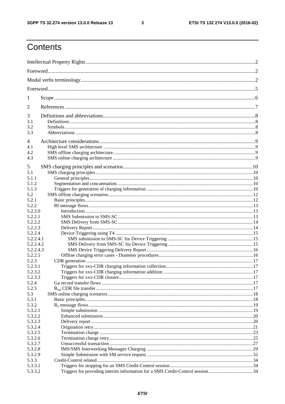$\mathbf{3}$ 

## Contents

| 1                      |                                                                               |  |  |
|------------------------|-------------------------------------------------------------------------------|--|--|
| 2                      |                                                                               |  |  |
| 3                      |                                                                               |  |  |
| 3.1                    |                                                                               |  |  |
| 3.2                    |                                                                               |  |  |
| 3.3                    |                                                                               |  |  |
| $\overline{4}$         |                                                                               |  |  |
| 4.1                    |                                                                               |  |  |
| 4.2                    |                                                                               |  |  |
| 4.3                    |                                                                               |  |  |
|                        |                                                                               |  |  |
| 5                      |                                                                               |  |  |
| 5.1                    |                                                                               |  |  |
| 5.1.1                  |                                                                               |  |  |
| 5.1.2                  |                                                                               |  |  |
| 5.1.3                  |                                                                               |  |  |
| 5.2                    |                                                                               |  |  |
| 5.2.1                  |                                                                               |  |  |
| 5.2.2                  |                                                                               |  |  |
| 5.2.2.0                |                                                                               |  |  |
| 5.2.2.1                |                                                                               |  |  |
| 5.2.2.2                |                                                                               |  |  |
| 5.2.2.3                |                                                                               |  |  |
| 5.2.2.4                |                                                                               |  |  |
| 5.2.2.4.1<br>5.2.2.4.2 |                                                                               |  |  |
| 5.2.2.4.3              |                                                                               |  |  |
| 5.2.2.5                |                                                                               |  |  |
| 5.2.3                  |                                                                               |  |  |
| 5.2.3.1                |                                                                               |  |  |
| 5.2.3.2                |                                                                               |  |  |
| 5.2.3.3                |                                                                               |  |  |
| 5.2.4                  |                                                                               |  |  |
| 5.2.5                  |                                                                               |  |  |
| 5.3                    |                                                                               |  |  |
| 5.3.1                  |                                                                               |  |  |
| 5.3.2                  |                                                                               |  |  |
| 5.3.2.1                |                                                                               |  |  |
| 5.3.2.2                |                                                                               |  |  |
| 5.3.2.3                |                                                                               |  |  |
| 5.3.2.4                |                                                                               |  |  |
| 5.3.2.5                |                                                                               |  |  |
| 5.3.2.6                |                                                                               |  |  |
| 5.3.2.7                |                                                                               |  |  |
| 5.3.2.8                |                                                                               |  |  |
| 5.3.2.9                |                                                                               |  |  |
| 5.3.3                  |                                                                               |  |  |
| 5.3.3.1                |                                                                               |  |  |
| 5.3.3.2                | Triggers for providing interim information for a SMS Credit-Control session34 |  |  |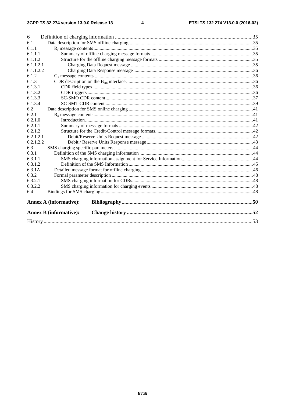#### $\overline{\mathbf{4}}$

| 6.1<br>6.1.1<br>6.1.1.1<br>6.1.1.2<br>6.1.1.2.1 |  |  |  |  |  |
|-------------------------------------------------|--|--|--|--|--|
|                                                 |  |  |  |  |  |
|                                                 |  |  |  |  |  |
|                                                 |  |  |  |  |  |
|                                                 |  |  |  |  |  |
|                                                 |  |  |  |  |  |
| 6.1.1.2.2                                       |  |  |  |  |  |
| 6.1.2                                           |  |  |  |  |  |
| 6.1.3                                           |  |  |  |  |  |
| 6.1.3.1                                         |  |  |  |  |  |
| 6.1.3.2                                         |  |  |  |  |  |
| 6.1.3.3                                         |  |  |  |  |  |
| 6.1.3.4                                         |  |  |  |  |  |
| 6.2                                             |  |  |  |  |  |
| 6.2.1                                           |  |  |  |  |  |
| 6.2.1.0                                         |  |  |  |  |  |
| 6.2.1.1                                         |  |  |  |  |  |
| 6.2.1.2                                         |  |  |  |  |  |
| 6.2.1.2.1                                       |  |  |  |  |  |
| 6.2.1.2.2                                       |  |  |  |  |  |
| 6.3                                             |  |  |  |  |  |
| 6.3.1                                           |  |  |  |  |  |
| 6.3.1.1                                         |  |  |  |  |  |
| 6.3.1.2                                         |  |  |  |  |  |
| 6.3.1A                                          |  |  |  |  |  |
| 6.3.2                                           |  |  |  |  |  |
| 6.3.2.1                                         |  |  |  |  |  |
| 6.3.2.2                                         |  |  |  |  |  |
| 6.4                                             |  |  |  |  |  |
| <b>Annex A (informative):</b>                   |  |  |  |  |  |
| <b>Annex B</b> (informative):                   |  |  |  |  |  |
|                                                 |  |  |  |  |  |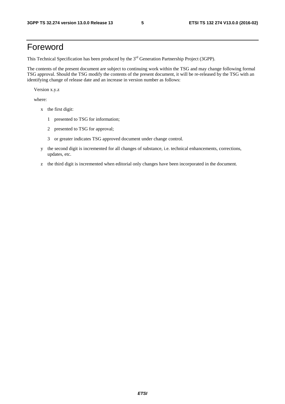### Foreword

This Technical Specification has been produced by the 3<sup>rd</sup> Generation Partnership Project (3GPP).

The contents of the present document are subject to continuing work within the TSG and may change following formal TSG approval. Should the TSG modify the contents of the present document, it will be re-released by the TSG with an identifying change of release date and an increase in version number as follows:

Version x.y.z

where:

- x the first digit:
	- 1 presented to TSG for information;
	- 2 presented to TSG for approval;
	- 3 or greater indicates TSG approved document under change control.
- y the second digit is incremented for all changes of substance, i.e. technical enhancements, corrections, updates, etc.
- z the third digit is incremented when editorial only changes have been incorporated in the document.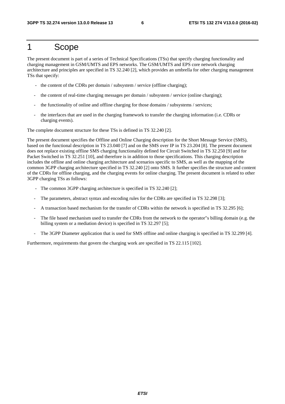### 1 Scope

The present document is part of a series of Technical Specifications (TSs) that specify charging functionality and charging management in GSM/UMTS and EPS networks. The GSM/UMTS and EPS core network charging architecture and principles are specified in TS 32.240 [2], which provides an umbrella for other charging management TSs that specify:

- the content of the CDRs per domain / subsystem / service (offline charging);
- the content of real-time charging messages per domain / subsystem / service (online charging);
- the functionality of online and offline charging for those domains / subsystems / services;
- the interfaces that are used in the charging framework to transfer the charging information (i.e. CDRs or charging events).

The complete document structure for these TSs is defined in TS 32.240 [2].

The present document specifies the Offline and Online Charging description for the Short Message Service (SMS), based on the functional description in TS 23.040 [7] and on the SMS over IP in TS 23.204 [8]. The present document does not replace existing offline SMS charging functionality defined for Circuit Switched in TS 32.250 [9] and for Packet Switched in TS 32.251 [10], and therefore is in addition to those specifications. This charging description includes the offline and online charging architecture and scenarios specific to SMS, as well as the mapping of the common 3GPP charging architecture specified in TS 32.240 [2] onto SMS. It further specifies the structure and content of the CDRs for offline charging, and the charging events for online charging. The present document is related to other 3GPP charging TSs as follows:

- The common 3GPP charging architecture is specified in TS 32.240 [2];
- The parameters, abstract syntax and encoding rules for the CDRs are specified in TS 32.298 [3];
- A transaction based mechanism for the transfer of CDRs within the network is specified in TS 32.295 [6];
- The file based mechanism used to transfer the CDRs from the network to the operator"s billing domain (e.g. the billing system or a mediation device) is specified in TS 32.297 [5];
- The 3GPP Diameter application that is used for SMS offline and online charging is specified in TS 32.299 [4].

Furthermore, requirements that govern the charging work are specified in TS 22.115 [102].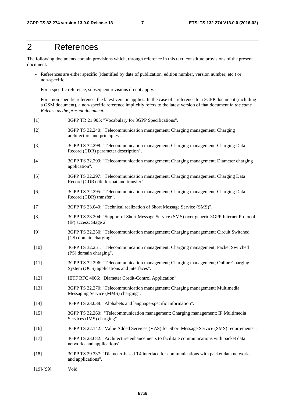### 2 References

The following documents contain provisions which, through reference in this text, constitute provisions of the present document.

- References are either specific (identified by date of publication, edition number, version number, etc.) or non-specific.
- For a specific reference, subsequent revisions do not apply.
- For a non-specific reference, the latest version applies. In the case of a reference to a 3GPP document (including a GSM document), a non-specific reference implicitly refers to the latest version of that document *in the same Release as the present document*.
- [1] 3GPP TR 21.905: "Vocabulary for 3GPP Specifications".
- [2] 3GPP TS 32.240: "Telecommunication management; Charging management; Charging architecture and principles".
- [3] 3GPP TS 32.298: "Telecommunication management; Charging management; Charging Data Record (CDR) parameter description".
- [4] 3GPP TS 32.299: "Telecommunication management; Charging management; Diameter charging application".
- [5] 3GPP TS 32.297: "Telecommunication management; Charging management; Charging Data Record (CDR) file format and transfer".
- [6] 3GPP TS 32.295: "Telecommunication management; Charging management; Charging Data Record (CDR) transfer".
- [7] 3GPP TS 23.040: "Technical realization of Short Message Service (SMS)".
- [8] 3GPP TS 23.204: "Support of Short Message Service (SMS) over generic 3GPP Internet Protocol (IP) access; Stage 2".
- [9] 3GPP TS 32.250: "Telecommunication management; Charging management; Circuit Switched (CS) domain charging".
- [10] 3GPP TS 32.251: "Telecommunication management; Charging management; Packet Switched (PS) domain charging".
- [11] 3GPP TS 32.296: "Telecommunication management; Charging management; Online Charging System (OCS) applications and interfaces".
- [12] IETF RFC 4006: "Diameter Credit-Control Application".
- [13] 3GPP TS 32.270: "Telecommunication management; Charging management; Multimedia Messaging Service (MMS) charging".
- [14] 3GPP TS 23.038: "Alphabets and language-specific information".
- [15] 3GPP TS 32.260: "Telecommunication management; Charging management; IP Multimedia Services (IMS) charging".
- [16] 3GPP TS 22.142: "Value Added Services (VAS) for Short Message Service (SMS) requirements".
- [17] 3GPP TS 23.682: "Architecture enhancements to facilitate communications with packet data networks and applications".
- [18] 3GPP TS 29.337: "Diameter-based T4 interface for communications with packet data networks and applications".
- [19]-[99] Void.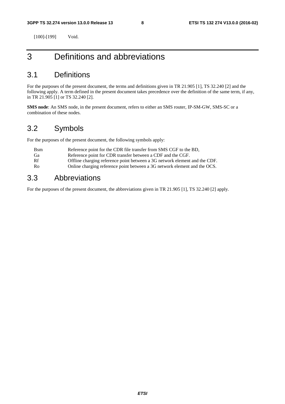[100]-[199] Void.

### 3 Definitions and abbreviations

### 3.1 Definitions

For the purposes of the present document, the terms and definitions given in TR 21.905 [1], TS 32.240 [2] and the following apply. A term defined in the present document takes precedence over the definition of the same term, if any, in TR 21.905 [1] or TS 32.240 [2].

**SMS node**: An SMS node, in the present document, refers to either an SMS router, IP-SM-GW, SMS-SC or a combination of these nodes.

### 3.2 Symbols

For the purposes of the present document, the following symbols apply:

| <b>B</b> sm | Reference point for the CDR file transfer from SMS CGF to the BD,          |
|-------------|----------------------------------------------------------------------------|
| Ga          | Reference point for CDR transfer between a CDF and the CGF.                |
| Rf          | Offline charging reference point between a 3G network element and the CDF. |
| Ro          | Online charging reference point between a 3G network element and the OCS.  |

### 3.3 Abbreviations

For the purposes of the present document, the abbreviations given in TR 21.905 [1], TS 32.240 [2] apply.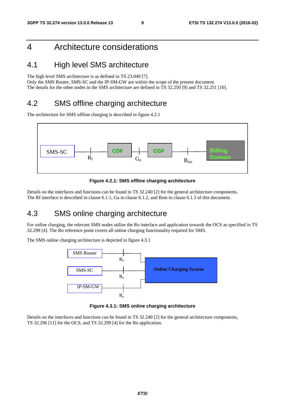### 4 Architecture considerations

### 4.1 High level SMS architecture

The high level SMS architecture is as defined in TS 23.040 [7].

Only the SMS Router, SMS-SC and the IP-SM-GW are within the scope of the present document. The details for the other nodes in the SMS architecture are defined in TS 32.250 [9] and TS 32.251 [10].

### 4.2 SMS offline charging architecture

The architecture for SMS offline charging is described in figure 4.2.1



**Figure 4.2.1: SMS offline charging architecture** 

Details on the interfaces and functions can be found in TS 32.240 [2] for the general architecture components. The Rf interface is described in clause 6.1.1, Ga in clause 6.1.2, and Bsm in clause 6.1.3 of this document.

### 4.3 SMS online charging architecture

For online charging, the relevant SMS nodes utilise the Ro interface and application towards the OCS as specified in TS 32.299 [4]. The Ro reference point covers all online charging functionality required for SMS.

The SMS online charging architecture is depicted in figure 4.3.1



**Figure 4.3.1: SMS online charging architecture** 

Details on the interfaces and functions can be found in TS 32.240 [2] for the general architecture components, TS 32.296 [11] for the OCS, and TS 32.299 [4] for the Ro application.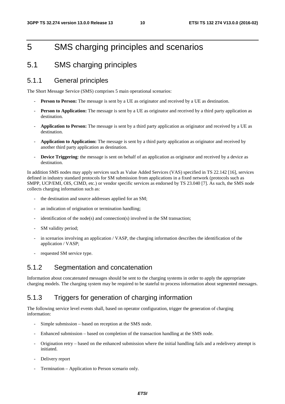### 5 SMS charging principles and scenarios

### 5.1 SMS charging principles

#### 5.1.1 General principles

The Short Message Service (SMS) comprises 5 main operational scenarios:

- **Person to Person:** The message is sent by a UE as originator and received by a UE as destination.
- **Person to Application:** The message is sent by a UE as originator and received by a third party application as destination.
- **Application to Person:** The message is sent by a third party application as originator and received by a UE as destination.
- **Application to Application:** The message is sent by a third party application as originator and received by another third party application as destination.
- **Device Triggering**: the message is sent on behalf of an application as originator and received by a device as destination.

In addition SMS nodes may apply services such as Value Added Services (VAS) specified in TS 22.142 [16], services defined in industry standard protocols for SM submission from applications in a fixed network (protocols such as SMPP, UCP/EMI, OIS, CIMD, etc.) or vendor specific services as endorsed by TS 23.040 [7]. As such, the SMS node collects charging information such as:

- the destination and source addresses applied for an SM;
- an indication of origination or termination handling;
- $i$ dentification of the node(s) and connection(s) involved in the SM transaction;
- SM validity period;
- in scenarios involving an application / VASP, the charging information describes the identification of the application / VASP;
- requested SM service type.

#### 5.1.2 Segmentation and concatenation

Information about concatenated messages should be sent to the charging systems in order to apply the appropriate charging models. The charging system may be required to be stateful to process information about segmented messages.

### 5.1.3 Triggers for generation of charging information

The following service level events shall, based on operator configuration, trigger the generation of charging information:

- Simple submission based on reception at the SMS node.
- Enhanced submission based on completion of the transaction handling at the SMS node.
- Origination retry based on the enhanced submission where the initial handling fails and a redelivery attempt is initiated.
- Delivery report
- Termination Application to Person scenario only.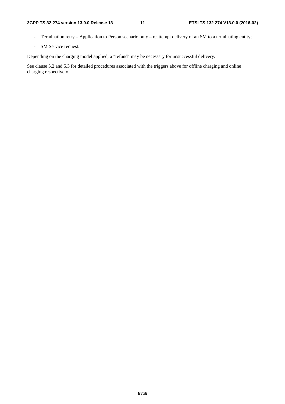- Termination retry Application to Person scenario only reattempt delivery of an SM to a terminating entity;
- SM Service request.

Depending on the charging model applied, a "refund" may be necessary for unsuccessful delivery.

See clause 5.2 and 5.3 for detailed procedures associated with the triggers above for offline charging and online charging respectively.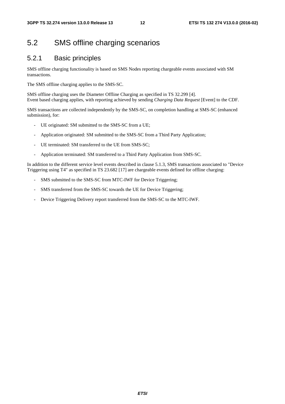### 5.2 SMS offline charging scenarios

#### 5.2.1 Basic principles

SMS offline charging functionality is based on SMS Nodes reporting chargeable events associated with SM transactions.

The SMS offline charging applies to the SMS-SC.

SMS offline charging uses the Diameter Offline Charging as specified in TS 32.299 [4]. Event based charging applies, with reporting achieved by sending *Charging Data Request* [Event] to the CDF.

SMS transactions are collected independently by the SMS-SC, on completion handling at SMS-SC (enhanced submission), for:

- UE originated: SM submitted to the SMS-SC from a UE;
- Application originated: SM submitted to the SMS-SC from a Third Party Application;
- UE terminated: SM transferred to the UE from SMS-SC;
- Application terminated: SM transferred to a Third Party Application from SMS-SC.

In addition to the different service level events described in clause 5.1.3, SMS transactions associated to "Device Triggering using T4" as specified in TS 23.682 [17] are chargeable events defined for offline charging:

- SMS submitted to the SMS-SC from MTC-IWF for Device Triggering;
- SMS transferred from the SMS-SC towards the UE for Device Triggering;
- Device Triggering Delivery report transferred from the SMS-SC to the MTC-IWF.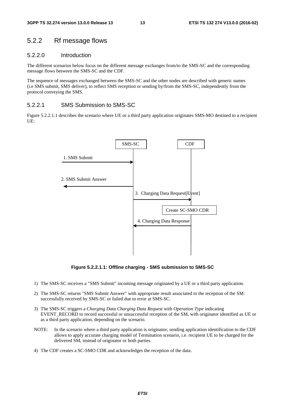#### 5.2.2 Rf message flows

#### 5.2.2.0 Introduction

The different scenarios below focus on the different message exchanges from/to the SMS-SC and the corresponding message flows between the SMS-SC and the CDF.

The sequence of messages exchanged between the SMS-SC and the other nodes are described with generic names (i.e SMS submit, SMS deliver), to reflect SMS reception or sending by/from the SMS-SC, independently from the protocol conveying the SMS.

#### 5.2.2.1 SMS Submission to SMS-SC

Figure 5.2.2.1.1 describes the scenario where UE or a third party application originates SMS-MO destined to a recipient UE:



**Figure 5.2.2.1.1: Offline charging - SMS submission to SMS-SC** 

- 1) The SMS-SC receives a "SMS Submit" incoming message originated by a UE or a third party application.
- 2) The SMS-SC returns "SMS Submit Answer" with appropriate result associated to the reception of the SM: successfully received by SMS-SC or failed due to error at SMS-SC.
- 3) The SMS-SC triggers a *Charging Data Charging Data Request* with *Operation Type* indicating EVENT\_RECORD to record successful or unsuccessful reception of the SM, with originator identified as UE or as a third party application, depending on the scenario.
- NOTE: In the scenario where a third party application is originator, sending application identification to the CDF allows to apply accurate charging model of Termination scenario, i.e. recipient UE to be charged for the delivered SM, instead of originator or both parties.
- 4) The CDF creates a SC-SMO CDR and acknowledges the reception of the data.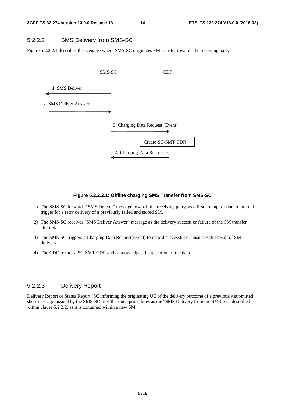#### 5.2.2.2 SMS Delivery from SMS-SC

Figure 5.2.2.2.1 describes the scenario where SMS-SC originates SM transfer towards the receiving party.



**Figure 5.2.2.2.1: Offline charging SMS Transfer from SMS-SC** 

- 1) The SMS-SC forwards "SMS Deliver" message towards the receiving party, as a first attempt or due to internal trigger for a retry delivery of a previously failed and stored SM.
- 2) The SMS-SC receives "SMS Deliver Answer" message as the delivery success or failure of the SM transfer attempt.
- 3) The SMS-SC triggers a Charging Data Request[Event] to record successful or unsuccessful result of SM delivery.
- 4) The CDF creates a SC-SMT CDR and acknowledges the reception of the data.

#### 5.2.2.3 Delivery Report

Delivery Report or Status Report (SC informing the originating UE of the delivery outcome of a previously submitted short message) issued by the SMS-SC uses the same procedures as the "SMS Delivery from the SMS-SC" described within clause 5.2.2.2, as it is contained within a new SM.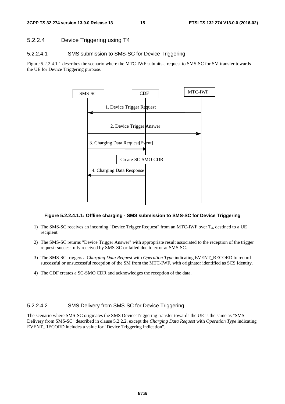#### 5.2.2.4 Device Triggering using T4

#### 5.2.2.4.1 SMS submission to SMS-SC for Device Triggering

Figure 5.2.2.4.1.1 describes the scenario where the MTC-IWF submits a request to SMS-SC for SM transfer towards the UE for Device Triggering purpose.



#### **Figure 5.2.2.4.1.1: Offline charging - SMS submission to SMS-SC for Device Triggering**

- 1) The SMS-SC receives an incoming "Device Trigger Request" from an MTC-IWF over  $T_4$ , destined to a UE recipient.
- 2) The SMS-SC returns "Device Trigger Answer" with appropriate result associated to the reception of the trigger request: successfully received by SMS-SC or failed due to error at SMS-SC.
- 3) The SMS-SC triggers a *Charging Data Request* with *Operation Type* indicating EVENT\_RECORD to record successful or unsuccessful reception of the SM from the MTC-IWF, with originator identified as SCS Identity.
- 4) The CDF creates a SC-SMO CDR and acknowledges the reception of the data.

#### 5.2.2.4.2 SMS Delivery from SMS-SC for Device Triggering

The scenario where SMS-SC originates the SMS Device Triggering transfer towards the UE is the same as "SMS Delivery from SMS-SC" described in clause 5.2.2.2, except the *Charging Data Request* with *Operation Type* indicating EVENT\_RECORD includes a value for "Device Triggering indication".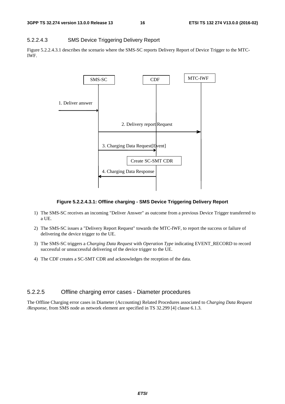#### 5.2.2.4.3 SMS Device Triggering Delivery Report

Figure 5.2.2.4.3.1 describes the scenario where the SMS-SC reports Delivery Report of Device Trigger to the MTC-IWF.



#### **Figure 5.2.2.4.3.1: Offline charging - SMS Device Triggering Delivery Report**

- 1) The SMS-SC receives an incoming "Deliver Answer" as outcome from a previous Device Trigger transferred to a UE.
- 2) The SMS-SC issues a "Delivery Report Request" towards the MTC-IWF, to report the success or failure of delivering the device trigger to the UE.
- 3) The SMS-SC triggers a *Charging Data Request* with *Operation Type* indicating EVENT\_RECORD to record successful or unsuccessful delivering of the device trigger to the UE.
- 4) The CDF creates a SC-SMT CDR and acknowledges the reception of the data.

#### 5.2.2.5 Offline charging error cases - Diameter procedures

The Offline Charging error cases in Diameter (Accounting) Related Procedures associated to *Charging Data Request /Response,* from SMS node as network element are specified in TS 32.299 [4] clause 6.1.3.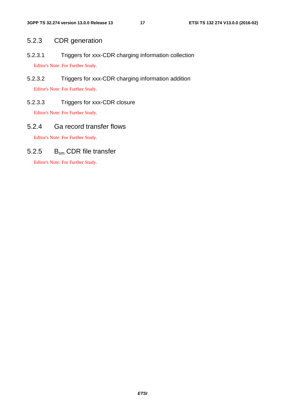### 5.2.3 CDR generation

5.2.3.1 Triggers for xxx-CDR charging information collection Editor's Note: For Further Study.

5.2.3.2 Triggers for xxx-CDR charging information addition Editor's Note: For Further Study.

### 5.2.3.3 Triggers for xxx-CDR closure

Editor's Note: For Further Study.

### 5.2.4 Ga record transfer flows

Editor's Note: For Further Study.

### 5.2.5 B<sub>sm</sub> CDR file transfer

Editor's Note: For Further Study.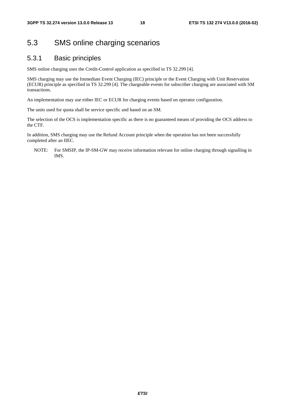### 5.3 SMS online charging scenarios

#### 5.3.1 Basic principles

SMS online charging uses the Credit-Control application as specified in TS 32.299 [4].

SMS charging may use the Immediate Event Charging (IEC) principle or the Event Charging with Unit Reservation (ECUR) principle as specified in TS 32.299 [4]. The chargeable events for subscriber charging are associated with SM transactions.

An implementation may use either IEC or ECUR for charging events based on operator configuration.

The units used for quota shall be service specific and based on an SM.

The selection of the OCS is implementation specific as there is no guaranteed means of providing the OCS address to the CTF.

In addition, SMS charging may use the Refund Account principle when the operation has not been successfully completed after an IIEC.

NOTE: For SMSIP, the IP-SM-GW may receive information relevant for online charging through signalling in IMS.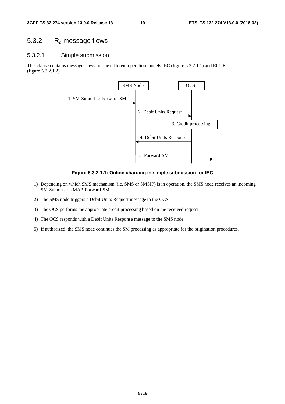### 5.3.2 R<sub>o</sub> message flows

#### 5.3.2.1 Simple submission

This clause contains message flows for the different operation models IEC (figure 5.3.2.1.1) and ECUR (figure 5.3.2.1.2).



**Figure 5.3.2.1.1: Online charging in simple submission for IEC** 

- 1) Depending on which SMS mechanism (i.e. SMS or SMSIP) is in operation, the SMS node receives an incoming SM-Submit or a MAP-Forward-SM.
- 2) The SMS node triggers a Debit Units Request message to the OCS.
- 3) The OCS performs the appropriate credit processing based on the received request.
- 4) The OCS responds with a Debit Units Response message to the SMS node.
- 5) If authorized, the SMS node continues the SM processing as appropriate for the origination procedures.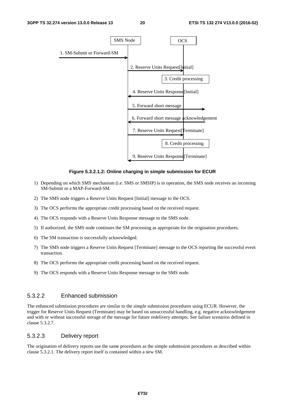

#### **Figure 5.3.2.1.2: Online charging in simple submission for ECUR**

- 1) Depending on which SMS mechanism (i.e. SMS or SMSIP) is in operation, the SMS node receives an incoming SM-Submit or a MAP-Forward-SM.
- 2) The SMS node triggers a Reserve Units Request [Initial] message to the OCS.
- 3) The OCS performs the appropriate credit processing based on the received request.
- 4) The OCS responds with a Reserve Units Response message to the SMS node.
- 5) If authorized, the SMS node continues the SM processing as appropriate for the origination procedures.
- 6) The SM transaction is successfully acknowledged.
- 7) The SMS node triggers a Reserve Units Request [Terminate] message to the OCS reporting the successful event transaction.
- 8) The OCS performs the appropriate credit processing based on the received request.
- 9) The OCS responds with a Reserve Units Response message to the SMS node.

#### 5.3.2.2 Enhanced submission

The enhanced submission procedures are similar to the simple submission procedures using ECUR. However, the trigger for Reserve Units Request (Terminate) may be based on unsuccessful handling, e.g. negative acknowledgement and with or without successful storage of the message for future redelivery attempts. See failure scenarios defined in clause 5.3.2.7.

#### 5.3.2.3 Delivery report

The origination of delivery reports use the same procedures as the simple submission procedures as described within clause 5.3.2.1. The delivery report itself is contained within a new SM.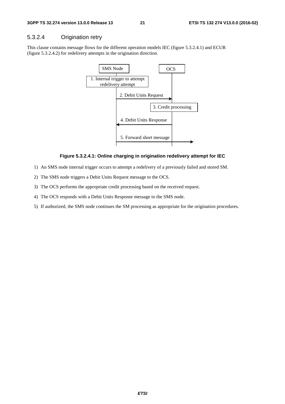#### 5.3.2.4 Origination retry

This clause contains message flows for the different operation models IEC (figure 5.3.2.4.1) and ECUR (figure 5.3.2.4.2) for redelivery attempts in the origination direction.



#### **Figure 5.3.2.4.1: Online charging in origination redelivery attempt for IEC**

- 1) An SMS node internal trigger occurs to attempt a redelivery of a previously failed and stored SM.
- 2) The SMS node triggers a Debit Units Request message to the OCS.
- 3) The OCS performs the appropriate credit processing based on the received request.
- 4) The OCS responds with a Debit Units Response message to the SMS node.
- 5) If authorized, the SMS node continues the SM processing as appropriate for the origination procedures.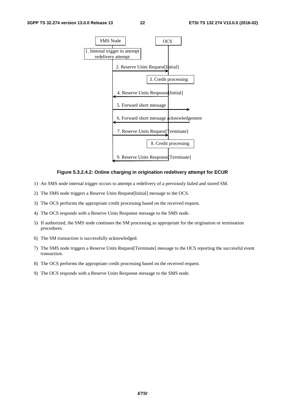

#### **Figure 5.3.2.4.2: Online charging in origination redelivery attempt for ECUR**

- 1) An SMS node internal trigger occurs to attempt a redelivery of a previously failed and stored SM.
- 2) The SMS node triggers a Reserve Units Request[Initial] message to the OCS.
- 3) The OCS performs the appropriate credit processing based on the received request.
- 4) The OCS responds with a Reserve Units Response message to the SMS node.
- 5) If authorized, the SMS node continues the SM processing as appropriate for the origination or termination procedures.
- 6) The SM transaction is successfully acknowledged.
- 7) The SMS node triggers a Reserve Units Request[Terminate] message to the OCS reporting the successful event transaction.
- 8) The OCS performs the appropriate credit processing based on the received request.
- 9) The OCS responds with a Reserve Units Response message to the SMS node.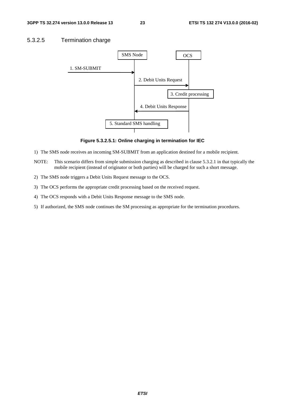#### 5.3.2.5 Termination charge



**Figure 5.3.2.5.1: Online charging in termination for IEC** 

- 1) The SMS node receives an incoming SM-SUBMIT from an application destined for a mobile recipient.
- NOTE: This scenario differs from simple submission charging as described in clause 5.3.2.1 in that typically the mobile recipient (instead of originator or both parties) will be charged for such a short message.
- 2) The SMS node triggers a Debit Units Request message to the OCS.
- 3) The OCS performs the appropriate credit processing based on the received request.
- 4) The OCS responds with a Debit Units Response message to the SMS node.
- 5) If authorized, the SMS node continues the SM processing as appropriate for the termination procedures.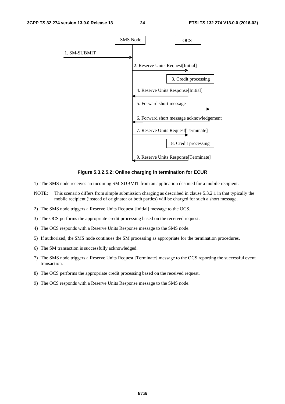

**Figure 5.3.2.5.2: Online charging in termination for ECUR** 

- 1) The SMS node receives an incoming SM-SUBMIT from an application destined for a mobile recipient.
- NOTE: This scenario differs from simple submission charging as described in clause 5.3.2.1 in that typically the mobile recipient (instead of originator or both parties) will be charged for such a short message.
- 2) The SMS node triggers a Reserve Units Request [Initial] message to the OCS.
- 3) The OCS performs the appropriate credit processing based on the received request.
- 4) The OCS responds with a Reserve Units Response message to the SMS node.
- 5) If authorized, the SMS node continues the SM processing as appropriate for the termination procedures.
- 6) The SM transaction is successfully acknowledged.
- 7) The SMS node triggers a Reserve Units Request [Terminate] message to the OCS reporting the successful event transaction.
- 8) The OCS performs the appropriate credit processing based on the received request.
- 9) The OCS responds with a Reserve Units Response message to the SMS node.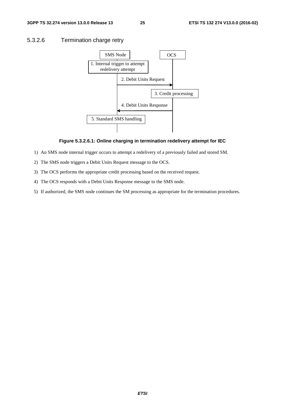#### **3GPP TS 32.274 version 13.0.0 Release 13 25 ETSI TS 132 274 V13.0.0 (2016-02)**

#### 5.3.2.6 Termination charge retry



#### **Figure 5.3.2.6.1: Online charging in termination redelivery attempt for IEC**

- 1) An SMS node internal trigger occurs to attempt a redelivery of a previously failed and stored SM.
- 2) The SMS node triggers a Debit Units Request message to the OCS.
- 3) The OCS performs the appropriate credit processing based on the received request.
- 4) The OCS responds with a Debit Units Response message to the SMS node.
- 5) If authorized, the SMS node continues the SM processing as appropriate for the termination procedures.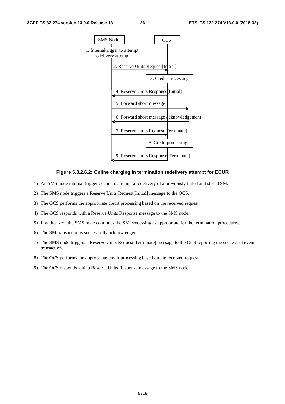

#### **Figure 5.3.2.6.2: Online charging in termination redelivery attempt for ECUR**

- 1) An SMS node internal trigger occurs to attempt a redelivery of a previously failed and stored SM.
- 2) The SMS node triggers a Reserve Units Request[Initial] message to the OCS.
- 3) The OCS performs the appropriate credit processing based on the received request.
- 4) The OCS responds with a Reserve Units Response message to the SMS node.
- 5) If authorized, the SMS node continues the SM processing as appropriate for the termination procedures.
- 6) The SM transaction is successfully acknowledged.
- 7) The SMS node triggers a Reserve Units Request[Terminate] message to the OCS reporting the successful event transaction.
- 8) The OCS performs the appropriate credit processing based on the received request.
- 9) The OCS responds with a Reserve Units Response message to the SMS node.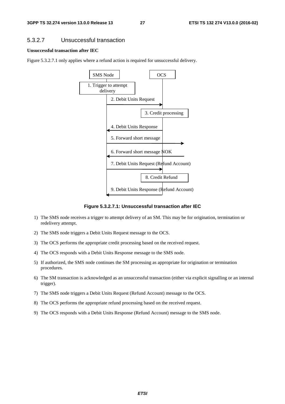#### 5.3.2.7 Unsuccessful transaction

#### **Unsuccessful transaction after IEC**

Figure 5.3.2.7.1 only applies where a refund action is required for unsuccessful delivery.



**Figure 5.3.2.7.1: Unsuccessful transaction after IEC** 

- 1) The SMS node receives a trigger to attempt delivery of an SM. This may be for origination, termination or redelivery attempt.
- 2) The SMS node triggers a Debit Units Request message to the OCS.
- 3) The OCS performs the appropriate credit processing based on the received request.
- 4) The OCS responds with a Debit Units Response message to the SMS node.
- 5) If authorized, the SMS node continues the SM processing as appropriate for origination or termination procedures.
- 6) The SM transaction is acknowledged as an unsuccessful transaction (either via explicit signalling or an internal trigger).
- 7) The SMS node triggers a Debit Units Request (Refund Account) message to the OCS.
- 8) The OCS performs the appropriate refund processing based on the received request.
- 9) The OCS responds with a Debit Units Response (Refund Account) message to the SMS node.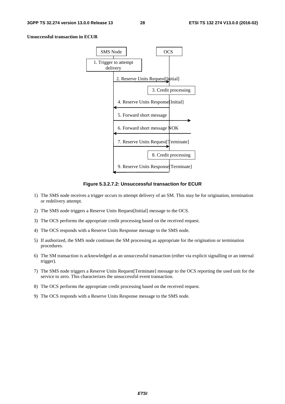#### **Unsuccessful transaction in ECUR**



**Figure 5.3.2.7.2: Unsuccessful transaction for ECUR** 

- 1) The SMS node receives a trigger occurs to attempt delivery of an SM. This may be for origination, termination or redelivery attempt.
- 2) The SMS node triggers a Reserve Units Request[Initial] message to the OCS.
- 3) The OCS performs the appropriate credit processing based on the received request.
- 4) The OCS responds with a Reserve Units Response message to the SMS node.
- 5) If authorized, the SMS node continues the SM processing as appropriate for the origination or termination procedures.
- 6) The SM transaction is acknowledged as an unsuccessful transaction (either via explicit signalling or an internal trigger).
- 7) The SMS node triggers a Reserve Units Request[Terminate] message to the OCS reporting the used unit for the service to zero. This characterizes the unsuccessful event transaction.
- 8) The OCS performs the appropriate credit processing based on the received request.
- 9) The OCS responds with a Reserve Units Response message to the SMS node.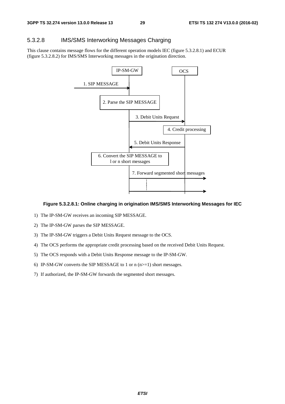#### 5.3.2.8 IMS/SMS Interworking Messages Charging

This clause contains message flows for the different operation models IEC (figure 5.3.2.8.1) and ECUR (figure 5.3.2.8.2) for IMS/SMS Interworking messages in the origination direction.



#### **Figure 5.3.2.8.1: Online charging in origination IMS/SMS Interworking Messages for IEC**

- 1) The IP-SM-GW receives an incoming SIP MESSAGE.
- 2) The IP-SM-GW parses the SIP MESSAGE.
- 3) The IP-SM-GW triggers a Debit Units Request message to the OCS.
- 4) The OCS performs the appropriate credit processing based on the received Debit Units Request.
- 5) The OCS responds with a Debit Units Response message to the IP-SM-GW.
- 6) IP-SM-GW converts the SIP MESSAGE to 1 or  $n(n)=1$ ) short messages.
- 7) If authorized, the IP-SM-GW forwards the segmented short messages.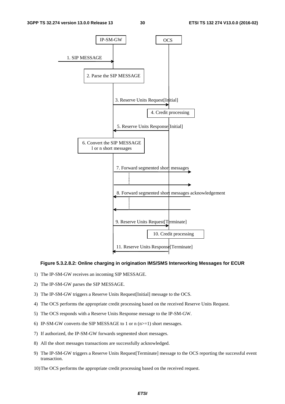

#### **Figure 5.3.2.8.2: Online charging in origination IMS/SMS Interworking Messages for ECUR**

- 1) The IP-SM-GW receives an incoming SIP MESSAGE.
- 2) The IP-SM-GW parses the SIP MESSAGE.
- 3) The IP-SM-GW triggers a Reserve Units Request[Initial] message to the OCS.
- 4) The OCS performs the appropriate credit processing based on the received Reserve Units Request.
- 5) The OCS responds with a Reserve Units Response message to the IP-SM-GW.
- 6) IP-SM-GW converts the SIP MESSAGE to 1 or  $n(n>=1)$  short messages.
- 7) If authorized, the IP-SM-GW forwards segmented short messages.
- 8) All the short messages transactions are successfully acknowledged.
- 9) The IP-SM-GW triggers a Reserve Units Request[Terminate] message to the OCS reporting the successful event transaction.
- 10) The OCS performs the appropriate credit processing based on the received request.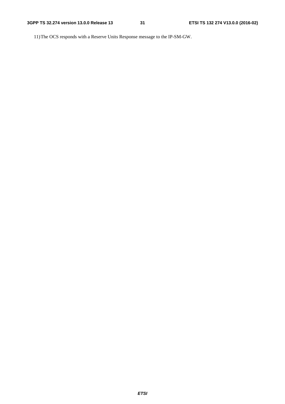11) The OCS responds with a Reserve Units Response message to the IP-SM-GW.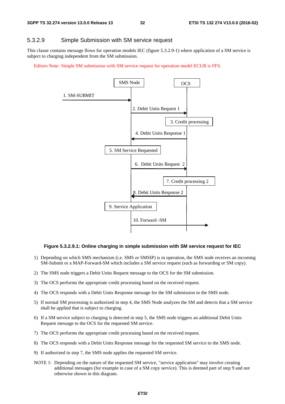#### 5.3.2.9 Simple Submission with SM service request

This clause contains message flows for operation models IEC (figure 5.3.2.9-1) where application of a SM service is subject to charging independent from the SM submission.

Editors Note: Simple SM submission with SM service request for operation model ECUR is FFS.



#### **Figure 5.3.2.9.1: Online charging in simple submission with SM service request for IEC**

- 1) Depending on which SMS mechanism (i.e. SMS or SMSIP) is in operation, the SMS node receives an incoming SM-Submit or a MAP-Forward-SM which includes a SM service request (such as forwarding or SM copy).
- 2) The SMS node triggers a Debit Units Request message to the OCS for the SM submission.
- 3) The OCS performs the appropriate credit processing based on the received request.
- 4) The OCS responds with a Debit Units Response message for the SM submission to the SMS node.
- 5) If normal SM processing is authorized in step 4, the SMS Node analyzes the SM and detects that a SM service shall be applied that is subject to charging.
- 6) If a SM service subject to charging is detected in step 5, the SMS node triggers an additional Debit Units Request message to the OCS for the requested SM service.
- 7) The OCS performs the appropriate credit processing based on the received request.
- 8) The OCS responds with a Debit Units Response message for the requested SM service to the SMS node.
- 9) If authorized in step 7, the SMS node applies the requested SM service.
- NOTE 1: Depending on the nature of the requested SM service, "service application" may involve creating additional messages (for example in case of a SM copy service). This is deemed part of step 9 and not otherwise shown in this diagram.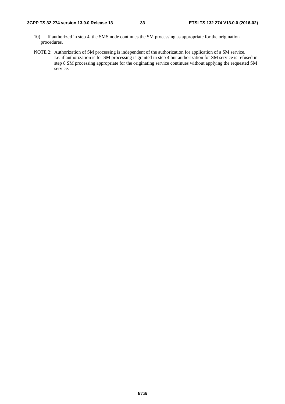- 10) If authorized in step 4, the SMS node continues the SM processing as appropriate for the origination procedures.
- NOTE 2: Authorization of SM processing is independent of the authorization for application of a SM service. I.e. if authorization is for SM processing is granted in step 4 but authorization for SM service is refused in step 8 SM processing appropriate for the originating service continues without applying the requested SM service.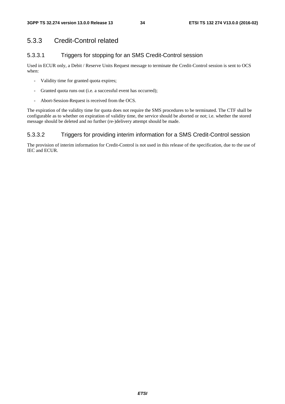### 5.3.3 Credit-Control related

#### 5.3.3.1 Triggers for stopping for an SMS Credit-Control session

Used in ECUR only, a Debit / Reserve Units Request message to terminate the Credit-Control session is sent to OCS when:

- Validity time for granted quota expires;
- Granted quota runs out (i.e. a successful event has occurred);
- Abort-Session-Request is received from the OCS.

The expiration of the validity time for quota does not require the SMS procedures to be terminated. The CTF shall be configurable as to whether on expiration of validity time, the service should be aborted or not; i.e. whether the stored message should be deleted and no further (re-)delivery attempt should be made.

#### 5.3.3.2 Triggers for providing interim information for a SMS Credit-Control session

The provision of interim information for Credit-Control is not used in this release of the specification, due to the use of IEC and ECUR.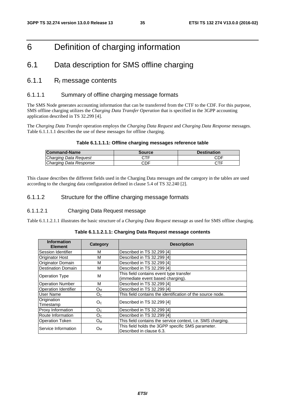### 6 Definition of charging information

### 6.1 Data description for SMS offline charging

#### 6.1.1  $R_f$  message contents

#### 6.1.1.1 Summary of offline charging message formats

The SMS Node generates accounting information that can be transferred from the CTF to the CDF. For this purpose, SMS offline charging utilizes the *Charging Data Transfer Operation* that is specified in the 3GPP accounting application described in TS 32.299 [4].

The *Charging Data Transfe*r operation employs the *Charging Data Request* and *Charging Data Response* messages. Table 6.1.1.1.1 describes the use of these messages for offline charging.

#### **Table 6.1.1.1.1: Offline charging messages reference table**

| <b>Command-Name</b>    | Source | <b>Destination</b> |
|------------------------|--------|--------------------|
| Charging Data Request  |        | CDF                |
| Charging Data Response | CDF    | CTF                |

This clause describes the different fields used in the Charging Data messages and the category in the tables are used according to the charging data configuration defined in clause 5.4 of TS 32.240 [2].

#### 6.1.1.2 Structure for the offline charging message formats

#### 6.1.1.2.1 Charging Data Request message

Table 6.1.1.2.1.1 illustrates the basic structure of a *Charging Data Request* message as used for SMS offline charging.

| <b>Information</b><br><b>Element</b> | <b>Category</b> | <b>Description</b>                                                            |
|--------------------------------------|-----------------|-------------------------------------------------------------------------------|
| Session Identifier                   | м               | Described in TS 32.299 [4]                                                    |
| <b>Originator Host</b>               | м               | Described in TS 32.299 [4]                                                    |
| <b>Originator Domain</b>             | м               | Described in TS 32.299 [4]                                                    |
| <b>Destination Domain</b>            | м               | Described in TS 32.299 [4]                                                    |
| <b>Operation Type</b>                | м               | This field contains event type transfer<br>(immediate event based charging).  |
| <b>Operation Number</b>              | м               | Described in TS 32.299 [4]                                                    |
| <b>Operation Identifier</b>          | Oм              | Described in TS 32.299 [4]                                                    |
| User Name                            | O <sub>C</sub>  | This field contains the identification of the source node.                    |
| Origination<br>Timestamp             | O <sub>C</sub>  | Described in TS 32.299 [4]                                                    |
| <b>Proxy Information</b>             | O <sub>c</sub>  | Described in TS 32.299 [4]                                                    |
| Route Information                    | O <sub>C</sub>  | Described in TS 32.299 [4]                                                    |
| <b>Operation Token</b>               | Oм              | This field contains the service context, i.e. SMS charging.                   |
| Service Information                  | Oм              | This field holds the 3GPP specific SMS parameter.<br>Described in clause 6.3. |

#### **Table 6.1.1.2.1.1: Charging Data Request message contents**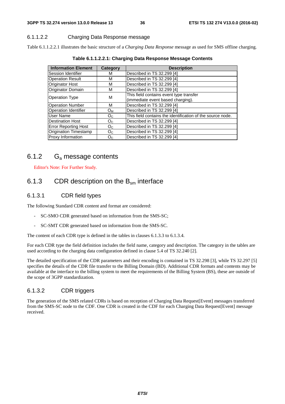#### 6.1.1.2.2 Charging Data Response message

Table 6.1.1.2.2.1 illustrates the basic structure of a *Charging Data Response* message as used for SMS offline charging.

| <b>Information Element</b>   | Category       | <b>Description</b>                                         |
|------------------------------|----------------|------------------------------------------------------------|
| Session Identifier           | М              | Described in TS 32.299 [4]                                 |
| <b>Operation Result</b>      | М              | Described in TS 32.299 [4]                                 |
| Originator Host              | M              | Described in TS 32.299 [4]                                 |
| Originator Domain            | M              | Described in TS 32.299 [4]                                 |
| <b>Operation Type</b>        | M              | This field contains event type transfer                    |
|                              |                | (immediate event based charging).                          |
| <b>Operation Number</b>      | M              | Described in TS 32.299 [4]                                 |
| <b>Operation Identifier</b>  | Oм             | Described in TS 32.299 [4]                                 |
| User Name                    | O <sub>C</sub> | This field contains the identification of the source node. |
| <b>Destination Host</b>      | O <sub>C</sub> | Described in TS 32.299 [4]                                 |
| <b>Error Reporting Host</b>  | O <sub>C</sub> | Described in TS 32.299 [4]                                 |
| <b>Origination Timestamp</b> | O <sub>C</sub> | Described in TS 32.299 [4]                                 |
| Proxy Information            | O <sub>C</sub> | Described in TS 32.299 [4]                                 |

**Table 6.1.1.2.2.1: Charging Data Response Message Contents** 

### 6.1.2  $G_a$  message contents

Editor's Note: For Further Study.

### 6.1.3 CDR description on the  $B_{\rm sm}$  interface

#### 6.1.3.1 CDR field types

The following Standard CDR content and format are considered:

- SC-SMO CDR generated based on information from the SMS-SC;
- SC-SMT CDR generated based on information from the SMS-SC.

The content of each CDR type is defined in the tables in clauses 6.1.3.3 to 6.1.3.4.

For each CDR type the field definition includes the field name, category and description. The category in the tables are used according to the charging data configuration defined in clause 5.4 of TS 32.240 [2].

The detailed specification of the CDR parameters and their encoding is contained in TS 32.298 [3], while TS 32.297 [5] specifies the details of the CDR file transfer to the Billing Domain (BD). Additional CDR formats and contents may be available at the interface to the billing system to meet the requirements of the Billing System (BS), these are outside of the scope of 3GPP standardization.

#### 6.1.3.2 CDR triggers

The generation of the SMS related CDRs is based on reception of Charging Data Request[Event] messages transferred from the SMS-SC node to the CDF. One CDR is created in the CDF for each Charging Data Request[Event] message received.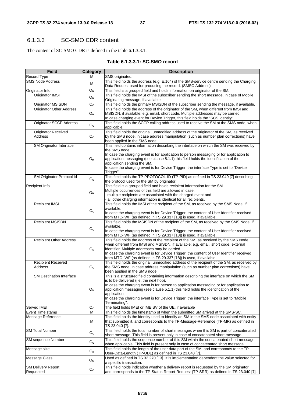#### 6.1.3.3 SC-SMO CDR content

The content of SC-SMO CDR is defined in the table 6.1.3.3.1.

#### **Table 6.1.3.3.1: SC-SMO record**

| <b>Field</b>                          | <b>Category</b>                | <b>Description</b>                                                                                                                                                           |
|---------------------------------------|--------------------------------|------------------------------------------------------------------------------------------------------------------------------------------------------------------------------|
| Record Type                           | М                              | SMS originated.                                                                                                                                                              |
| <b>SMS Node Address</b>               |                                | This field holds the address (e.g. E.164) of the SMS-service centre sending the Charging                                                                                     |
|                                       | М                              | Data Request used for producing the record. (SMSC Address)                                                                                                                   |
| Originator Info                       | $O_M$                          | This field is a grouped field and holds information on originator of the SM.                                                                                                 |
| Originator IMSI                       | $O_{M}$                        | This field holds the IMSI of the subscriber sending the short message, in case of Mobile                                                                                     |
|                                       |                                | Originating message, if available.                                                                                                                                           |
| Originator MSISDN                     | $\overline{O}_{\underline{c}}$ | This field holds the primary MSISDN of the subscriber sending the message, if available.                                                                                     |
| <b>Originator Other Address</b>       |                                | This field holds the address of the originator of the SM, when different from IMSI and                                                                                       |
|                                       | $O_{M}$                        | MSISDN, if available: e.g. email, short code. Multiple addresses may be carried.                                                                                             |
|                                       |                                | In case charging event for Device Trigger, this field holds the "SCS Identity".                                                                                              |
| <b>Originator SCCP Address</b>        | $O_c$                          | This field holds the SCCP calling address used to receive the SM at the SMS node, when                                                                                       |
|                                       |                                | applicable.<br>This field holds the original, unmodified address of the originator of the SM, as received                                                                    |
| <b>Originator Received</b><br>Address |                                |                                                                                                                                                                              |
|                                       | $O_c$                          | by the SMS node, in case address manipulation (such as number plan corrections) have<br>been applied in the SMS node.                                                        |
| SM Originator Interface               |                                | This field contains information describing the interface on which the SM was received by                                                                                     |
|                                       |                                | the SMS node.                                                                                                                                                                |
|                                       |                                | In case the charging event is for application to person messaging or for application to                                                                                      |
|                                       | $O_M$                          | application messaging (see clause 5.1.1) this field holds the identification of the                                                                                          |
|                                       |                                | application sending the SM.                                                                                                                                                  |
|                                       |                                | In case the charging event is for Device Trigger, the interface Type is set to "Device"                                                                                      |
|                                       |                                | Trigger".                                                                                                                                                                    |
| SM Originator Protocol Id             | O <sub>c</sub>                 | This field holds the TP-PROTOCOL-ID (TP-PID) as defined in TS 23.040 [7] describing                                                                                          |
|                                       |                                | the protocol used for the SM by originator.                                                                                                                                  |
| Recipient Info                        |                                | This field is a grouped field and holds recipient information for the SM.                                                                                                    |
|                                       | $O_{M}$                        | Multiple occurrences of this field are allowed in case:<br>- multiple recipients are associated with the charged event and                                                   |
|                                       |                                | all other charging information is identical for all recipients.                                                                                                              |
| <b>Recipient IMSI</b>                 |                                | This field holds the IMSI of the recipient of the SM, as received by the SMS Node, if                                                                                        |
|                                       |                                | available.                                                                                                                                                                   |
|                                       | O <sub>c</sub>                 | In case the charging event is for Device Trigger, the content of User Identifier received                                                                                    |
|                                       |                                | from MTC-IWF (as defined in TS 29.337 [18]) is used, if available.                                                                                                           |
| <b>Recipient MSISDN</b>               |                                | This field holds the MSISDN of the recipient of the SM, as received by the SMS Node, if                                                                                      |
|                                       | O <sub>c</sub>                 | available.                                                                                                                                                                   |
|                                       |                                | In case the charging event is for Device Trigger, the content of User Identifier received                                                                                    |
|                                       |                                | from MTC-IWF (as defined in TS 29.337 [18]) is used, if available.                                                                                                           |
| <b>Recipient Other Address</b>        |                                | This field holds the address of the recipient of the SM, as received by the SMS Node,<br>when different from IMSI and MSISDN, if available: e.g. email, short code, external |
|                                       | O <sub>c</sub>                 | identifier. Multiple addresses may be carried.                                                                                                                               |
|                                       |                                | In case the charging event is for Device Trigger, the content of User Identifier received                                                                                    |
|                                       |                                | from MTC-IWF (as defined in TS 29.337 [18]) is used, if available.                                                                                                           |
| <b>Recipient Received</b>             |                                | This field holds the original, unmodified address of the recipient of the SM, as received by                                                                                 |
| Address                               | O <sub>C</sub>                 | the SMS node, in case address manipulation (such as number plan corrections) have                                                                                            |
|                                       |                                | been applied in the SMS node.                                                                                                                                                |
| <b>SM Destination Interface</b>       |                                | This is a structured field containing information describing the interface on which the SM                                                                                   |
|                                       |                                | is to be delivered (i.e. the next hop).                                                                                                                                      |
|                                       |                                | In case the charging event is for person to application messaging or for application to                                                                                      |
|                                       | $O_{M}$                        | application messaging (see clause 5.1.1) this field holds the identification of the<br>application.                                                                          |
|                                       |                                | In case the charging event is for Device Trigger, the interface Type is set to "Mobile"                                                                                      |
|                                       |                                | Terminating".                                                                                                                                                                |
| Served IMEI                           | O <sub>c</sub>                 | The field holds IMEI or IMEISV of the UE, if available                                                                                                                       |
| Event Time stamp                      | M                              | This field holds the timestamp of when the submitted SM arrived at the SMS-SC.                                                                                               |
| Message Reference                     |                                | This field holds the identity used to identify an SM in the SMS node associated with entity                                                                                  |
|                                       | M                              | that submitted it, and corresponds to the TP-Message-Reference (TP-MR) as defined in                                                                                         |
|                                       |                                | TS 23.040 [7].                                                                                                                                                               |
| <b>SM Total Number</b>                | O <sub>C</sub>                 | This field holds the total number of short messages when this SM is part of concatenated                                                                                     |
|                                       |                                | short message. This field is present only in case of concatenated short message.                                                                                             |
| <b>SM</b> sequence Number             | $O_c$                          | This field holds the sequence number of this SM within the concatenated short message                                                                                        |
|                                       |                                | when applicable. This field is present only in case of concatenated short message.                                                                                           |
| Message size                          | $O_c$                          | This field holds the length of the user data part of the SM, and corresponds to the TP-                                                                                      |
|                                       |                                | User-Data-Length (TP-UDL) as defined in TS 23.040 [7].                                                                                                                       |
| Message Class                         | O <sub>M</sub>                 | Used as defined in TS 32.270 [13]. It is implementation dependent the value selected for                                                                                     |
| <b>SM Delivery Report</b>             |                                | a specific transaction.<br>This field holds indication whether a delivery report is requested by the SM originator,                                                          |
| Requested                             | Oc                             | and corresponds to the TP-Status-Report-Request (TP-SRR) as defined in TS 23.040 [7].                                                                                        |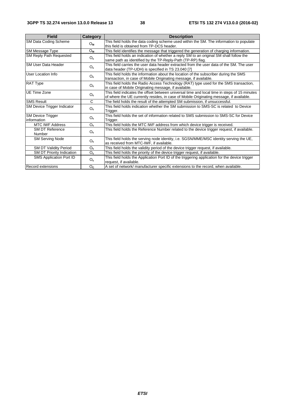| <b>Field</b>                            | Category       | <b>Description</b>                                                                                                                                                                      |
|-----------------------------------------|----------------|-----------------------------------------------------------------------------------------------------------------------------------------------------------------------------------------|
| SM Data Coding Scheme                   | $O_{M}$        | This field holds the data coding scheme used within the SM. The information to populate<br>this field is obtained from TP-DCS header.                                                   |
| SM Message Type                         | $O_{M}$        | This field identifies the message that triggered the generation of charging information.                                                                                                |
| <b>SM Reply Path Requested</b>          | O <sub>c</sub> | This field holds an indication of whether a reply SM to an original SM shall follow the<br>same path as identified by the TP-Reply-Path (TP-RP) flag.                                   |
| SM User Data Header                     | $O_c$          | This field carries the user data header extracted from the user data of the SM. The user<br>data header (TP-UDH) is specified in TS 23.040 [7]                                          |
| User Location Info                      | $O_c$          | This field holds the information about the location of the subscriber during the SMS<br>transaction, in case of Mobile Originating message, if available.                               |
| <b>RAT Type</b>                         | $O_c$          | This field holds the Radio Access Technology (RAT) type used for the SMS transaction,<br>in case of Mobile Originating message, if available.                                           |
| <b>UE Time Zone</b>                     | $O_c$          | This field indicates the offset between universal time and local time in steps of 15 minutes<br>of where the UE currently resides, in case of Mobile Originating message, if available. |
| <b>SMS Result</b>                       | C              | The field holds the result of the attempted SM submission, if unsuccessful.                                                                                                             |
| SM Device Trigger Indicator             | $O_c$          | This field holds indication whether the SM submission to SMS-SC is related to Device<br>Trigger.                                                                                        |
| <b>SM Device Trigger</b><br>information | O <sub>c</sub> | This field holds the set of information related to SMS submission to SMS-SC for Device<br>Trigger.                                                                                      |
| <b>MTC IWF Address</b>                  | $O_c$          | This field holds the MTC IWF address from which device trigger is received.                                                                                                             |
| <b>SM DT Reference</b><br>Number        | O <sub>c</sub> | This field holds the Reference Number related to the device trigger request, if available.                                                                                              |
| <b>SM Serving Node</b>                  | O <sub>c</sub> | This field holds the serving node identity, i.e. SGSN/MME/MSC identity serving the UE,<br>as received from MTC-IWF, if available.                                                       |
| <b>SM DT Validity Period</b>            | $O_c$          | This field holds the validity period of the device trigger request, if available.                                                                                                       |
| <b>SM DT Priority Indication</b>        | $O_c$          | This field holds the priority of the device trigger request, if available.                                                                                                              |
| <b>SMS Application Port ID</b>          | $O_c$          | This field holds the Application Port ID of the triggering application for the device trigger<br>request, if available.                                                                 |
| <b>Record extensions</b>                | O <sub>c</sub> | A set of network/ manufacturer specific extensions to the record, when available.                                                                                                       |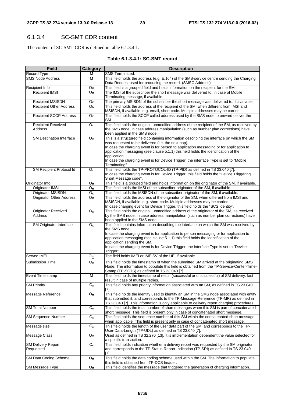### 6.1.3.4 SC-SMT CDR content

The content of SC-SMT CDR is defined in table 6.1.3.4.1.

#### **Table 6.1.3.4.1: SC-SMT record**

| <b>Field</b>                    | Category                  | <b>Description</b>                                                                                                                                      |
|---------------------------------|---------------------------|---------------------------------------------------------------------------------------------------------------------------------------------------------|
| Record Type                     | M                         | SMS Terminated.                                                                                                                                         |
| <b>SMS Node Address</b>         | M                         | This field holds the address (e.g. E.164) of the SMS-service centre sending the Charging<br>Data Request used for producing the record. (SMSC Address). |
| Recipient Info                  | $O_{M}$                   | This field is a grouped field and holds information on the recipient for the SM.                                                                        |
| <b>Recipient IMSI</b>           | $O_{M}$                   | The IMSI of the subscriber the short message was delivered to, in case of Mobile                                                                        |
|                                 |                           | Terminating message, if available.                                                                                                                      |
| <b>Recipient MSISDN</b>         | $O_c$                     | The primary MSISDN of the subscriber the short message was delivered to, if available.                                                                  |
| <b>Recipient Other Address</b>  | Oc                        | This field holds the address of the recipient of the SM, when different from IMSI and                                                                   |
|                                 |                           | MSISDN, if available: e.g. email, short code. Multiple addresses may be carried.                                                                        |
| <b>Recipient SCCP Address</b>   | O <sub>c</sub>            | This field holds the SCCP called address used by the SMS node to onward deliver the<br>SM.                                                              |
| <b>Recipient Received</b>       | O <sub>c</sub>            | This field holds the original, unmodified address of the recipient of the SM, as received by                                                            |
| Address                         |                           | the SMS node, in case address manipulation (such as number plan corrections) have                                                                       |
|                                 |                           | been applied in the SMS node.                                                                                                                           |
| SM Destination Interface        | $O_{M}$                   | This is a structured field containing information describing the interface on which the SM                                                              |
|                                 |                           | was requested to be delivered (i.e. the next hop).                                                                                                      |
|                                 |                           | In case the charging event is for person to application messaging or for application to                                                                 |
|                                 |                           | application messaging (see clause 5.1.1) this field holds the identification of the                                                                     |
|                                 |                           | application.                                                                                                                                            |
|                                 |                           | In case the charging event is for Device Trigger, the interface Type is set to "Mobile                                                                  |
|                                 |                           | Terminating".                                                                                                                                           |
| SM Recipient Protocol Id        | O <sub>C</sub>            | This field holds the TP-PROTOCOL-ID (TP-PID) as defined in TS 23.040 [7].                                                                               |
|                                 |                           | In case the charging event is for Device Trigger, this field holds the "Device Triggering"                                                              |
|                                 |                           | Short Message code".                                                                                                                                    |
| Originator Info                 | $O_{M}$                   | This field is a grouped field and holds information on the originator of the SM, if available.                                                          |
| Originator IMSI                 | $O_{M}$                   | This field holds the IMSI of the subscriber originator of the SM, if available.                                                                         |
| Originator MSISDN               | O <sub>c</sub>            | This field holds the MSISDN of the subscriber originator of the SM, if available.                                                                       |
| <b>Originator Other Address</b> | $O_{M}$                   | This field holds the address of the originator of the SM, when different from IMSI and                                                                  |
|                                 |                           | MSISDN, if available: e.g. short-code. Multiple addresses may be carried.                                                                               |
|                                 |                           | In case charging event for Device Trigger, this field holds the "SCS Identity".                                                                         |
| <b>Originator Received</b>      | O <sub>c</sub>            | This field holds the original, unmodified address of the originator of the SM, as received                                                              |
| Address                         |                           | by the SMS node, in case address manipulation (such as number plan corrections) have                                                                    |
|                                 |                           | been applied in the SMS node.                                                                                                                           |
| SM Originator Interface         | O <sub>c</sub>            | This field contains information describing the interface on which the SM was received by                                                                |
|                                 |                           | the SMS node.                                                                                                                                           |
|                                 |                           | In case the charging event is for application to person messaging or for application to                                                                 |
|                                 |                           | application messaging (see clause 5.1.1) this field holds the identification of the<br>application sending the SM.                                      |
|                                 |                           | In case the charging event is for Device Trigger, the interface Type is set to "Device"                                                                 |
|                                 |                           | Trigger".                                                                                                                                               |
| Served IMEI                     | $O_{\rm C}$               | The field holds IMEI or IMEISV of the UE, if available.                                                                                                 |
| <b>Submission Time</b>          | O <sub>c</sub>            | This field holds the timestamp of when the submitted SM arrived at the originating SMS                                                                  |
|                                 |                           | Node. The information to populate this field is obtained from the TP-Service-Center-Time-                                                               |
|                                 |                           | Stamp (TP-SCTS) as defined in TS 23.040 [7].                                                                                                            |
| Event Time stamp                | M                         | This field holds the timestamp of result (successful or unsuccessful) of SM delivery: last                                                              |
|                                 |                           | result in case of multiple retries.                                                                                                                     |
| <b>SM Priority</b>              | $O_c$                     | This field holds any priority information associated with an SM, as defined in TS 23.040<br>[7].                                                        |
| Message Reference               | $\mathsf{O}_{\mathsf{M}}$ | This field holds the identity used to identify an SM in the SMS node associated with entity                                                             |
|                                 |                           | that submitted it, and corresponds to the TP-Message-Reference (TP-MR) as defined in                                                                    |
|                                 |                           | TS 23.040 [7]. This information is only applicable to delivery report charging procedures.                                                              |
| <b>SM Total Number</b>          | $\overline{O}_{c}$        | This field holds the total number of short messages when this SM is part of concatenated                                                                |
|                                 |                           | short message. This field is present only in case of concatenated short message.                                                                        |
| <b>SM Sequence Number</b>       | $O_c$                     | This field holds the sequence number of this SM within the concatenated short message                                                                   |
|                                 |                           | when applicable. This field is present only in case of concatenated short message.                                                                      |
| Message size                    | $\mathsf{O}_{\mathsf{c}}$ | This field holds the length of the user data part of the SM, and corresponds to the TP-<br>User-Data-Length (TP-UDL) as defined in TS 23.040 [7].       |
| Message Class                   | ${\mathsf O}_{\mathsf M}$ | Used as defined in TS 32.270 [13]. It is implementation dependent the value selected for                                                                |
| <b>SM Delivery Report</b>       | $O_c$                     | a specific transaction.<br>This field holds indication whether a delivery report was requested by the SM originator,                                    |
|                                 |                           | and corresponds to the TP-Status-Report-Indication (TP-SRI) as defined in TS 23.040                                                                     |
| Requested                       |                           | [7].                                                                                                                                                    |
| SM Data Coding Scheme           | $O_{M}$                   | This field holds the data coding scheme used within the SM. The information to populate                                                                 |
|                                 |                           | this field is obtained from TP-DCS header.                                                                                                              |
| SM Message Type                 | $O_{M}$                   | This field identifies the message that triggered the generation of charging information.                                                                |
|                                 |                           |                                                                                                                                                         |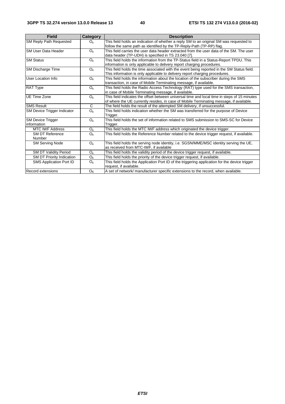| <b>Field</b>                            | <b>Category</b> | <b>Description</b>                                                                                                                                                                      |
|-----------------------------------------|-----------------|-----------------------------------------------------------------------------------------------------------------------------------------------------------------------------------------|
| <b>SM Reply Path Requested</b>          | O <sub>c</sub>  | This field holds an indication of whether a reply SM to an original SM was requested to<br>follow the same path as identified by the TP-Reply-Path (TP-RP) flag.                        |
| <b>ISM User Data Header</b>             | $O_c$           | This field carries the user data header extracted from the user data of the SM. The user<br>data header (TP-UDH) is specified in TS 23.040 [7].                                         |
| <b>SM Status</b>                        | $O_c$           | This field holds the information from the TP-Status field in a Status-Report TPDU. This<br>information is only applicable to delivery report charging procedures.                       |
| <b>SM Discharge Time</b>                | $O_c$           | This field holds the time associated with the event being reported in the SM Status field.<br>This information is only applicable to delivery report charging procedures.               |
| User Location Info                      | $O_c$           | This field holds the information about the location of the subscriber during the SMS<br>transaction, in case of Mobile Terminating message, if available.                               |
| <b>RAT Type</b>                         | $O_c$           | This field holds the Radio Access Technology (RAT) type used for the SMS transaction,<br>in case of Mobile Terminating message, if available.                                           |
| <b>IUE Time Zone</b>                    | O <sub>c</sub>  | This field indicates the offset between universal time and local time in steps of 15 minutes<br>of where the UE currently resides, in case of Mobile Terminating message, if available. |
| <b>SMS Result</b>                       | C               | The field holds the result of the attempted SM delivery, if unsuccessful.                                                                                                               |
| SM Device Trigger Indicator             | $O_c$           | This field holds indication whether the SM was transferred for the purpose of Device<br>Trigger.                                                                                        |
| <b>SM Device Trigger</b><br>information | $O_c$           | This field holds the set of information related to SMS submission to SMS-SC for Device<br>Trigger.                                                                                      |
| <b>MTC IWF Address</b>                  | $O_c$           | This field holds the MTC IWF address which originated the device trigger.                                                                                                               |
| <b>SM DT Reference</b><br>Number        | $O_c$           | This field holds the Reference Number related to the device trigger request, if available.                                                                                              |
| <b>SM Serving Node</b>                  | $O_c$           | This field holds the serving node identity, i.e. SGSN/MME/MSC identity serving the UE,<br>as received from MTC-IWF, if available                                                        |
| <b>SM DT Validity Period</b>            | O <sub>c</sub>  | This field holds the validity period of the device trigger request, if available.                                                                                                       |
| SM DT Priority Indication               | $O_c$           | This field holds the priority of the device trigger request, if available.                                                                                                              |
| SMS Application Port ID                 | $O_c$           | This field holds the Application Port ID of the triggering application for the device trigger<br>request, if available.                                                                 |
| <b>Record extensions</b>                | O <sub>c</sub>  | A set of network/ manufacturer specific extensions to the record, when available.                                                                                                       |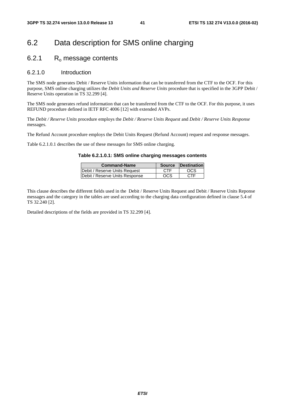### 6.2 Data description for SMS online charging

### 6.2.1 R<sub>o</sub> message contents

#### 6.2.1.0 Introduction

The SMS node generates Debit / Reserve Units information that can be transferred from the CTF to the OCF. For this purpose, SMS online charging utilizes the *Debit Units and Reserve Units* procedure that is specified in the 3GPP Debit / Reserve Units operation in TS 32.299 [4].

The SMS node generates refund information that can be transferred from the CTF to the OCF. For this purpose, it uses REFUND procedure defined in IETF RFC 4006 [12] with extended AVPs.

The *Debit / Reserve Units* procedure employs the *Debit / Reserve Units Request* and *Debit / Reserve Units Response* messages.

The Refund Account procedure employs the Debit Units Request (Refund Account) request and response messages.

Table 6.2.1.0.1 describes the use of these messages for SMS online charging.

#### **Table 6.2.1.0.1: SMS online charging messages contents**

| <b>Command-Name</b>            | <b>Source</b> | <b>Destination</b> |
|--------------------------------|---------------|--------------------|
| Debit / Reserve Units Request  | <b>CTF</b>    | OCS                |
| Debit / Reserve Units Response | OCS           | <b>CTF</b>         |

This clause describes the different fields used in the Debit / Reserve Units Request and Debit / Reserve Units Reponse messages and the category in the tables are used according to the charging data configuration defined in clause 5.4 of TS 32.240 [2].

Detailed descriptions of the fields are provided in TS 32.299 [4].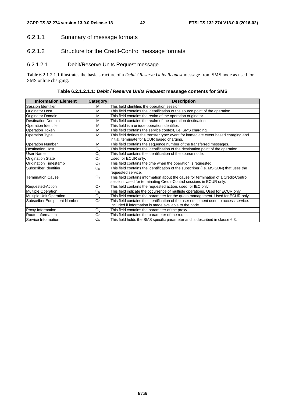#### 6.2.1.1 Summary of message formats

#### 6.2.1.2 Structure for the Credit-Control message formats

#### 6.2.1.2.1 Debit/Reserve Units Request message

Table 6.2.1.2.1.1 illustrates the basic structure of a *Debit / Reserve Units Request* message from SMS node as used for SMS online charging.

**Table 6.2.1.2.1.1:** *Debit / Reserve Units Request* **message contents for SMS** 

| <b>Information Element</b>   | <b>Category</b> | <b>Description</b>                                                                                                                |
|------------------------------|-----------------|-----------------------------------------------------------------------------------------------------------------------------------|
| Session Identifier           | м               | This field identifies the operation session.                                                                                      |
| <b>Originator Host</b>       | M               | This field contains the identification of the source point of the operation.                                                      |
| Originator Domain            | M               | This field contains the realm of the operation originator.                                                                        |
| Destination Domain           | M               | This field contains the realm of the operation destination.                                                                       |
| <b>Operation Identifier</b>  | M               | This field is a unique operation identifier.                                                                                      |
| <b>Operation Token</b>       | M               | This field contains the service context, i.e. SMS charging.                                                                       |
| <b>Operation Type</b>        | M               | This field defines the transfer type: event for immediate event based charging and<br>initial, terminate for ECUR based charging. |
| <b>Operation Number</b>      | М               | This field contains the sequence number of the transferred messages.                                                              |
| <b>Destination Host</b>      | O <sub>c</sub>  | This field contains the identification of the destination point of the operation.                                                 |
| User Name                    | $O_c$           | This field contains the identification of the source node.                                                                        |
| <b>Origination State</b>     | O <sub>c</sub>  | Used for ECUR only.                                                                                                               |
| <b>Origination Timestamp</b> | $O_c$           | This field contains the time when the operation is requested.                                                                     |
| Subscriber Identifier        | $O_{M}$         | This field contains the identification of the subscriber (i.e. MSISDN) that uses the<br>requested service.                        |
| <b>Termination Cause</b>     | O <sub>c</sub>  | This field contains information about the cause for termination of a Credit-Control                                               |
|                              |                 | session. Used for terminating Credit-Control sessions in ECUR only.                                                               |
| Requested-Action             | O <sub>c</sub>  | This field contains the requested action, used for IEC only.                                                                      |
| <b>Multiple Operation</b>    | $O_{M}$         | This field indicate the occurrence of multiple operations. Used for ECUR only                                                     |
| Multiple Unit Operation      | O <sub>c</sub>  | This field contains the parameter for the quota management. Used for ECUR only                                                    |
| Subscriber Equipment Number  | $O_c$           | This field contains the identification of the user equipment used to access service.                                              |
|                              |                 | Included if information is made available to the node.                                                                            |
| Proxy Information            | O <sub>c</sub>  | This field contains the parameter of the proxy.                                                                                   |
| Route Information            | $O_c$           | This field contains the parameter of the route.                                                                                   |
| Service Information          | $O_{M}$         | This field holds the SMS specific parameter and is described in clause 6.3.                                                       |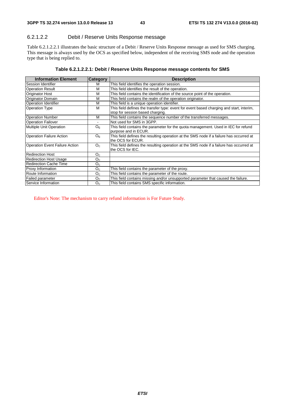#### 6.2.1.2.2 Debit / Reserve Units Response message

Table 6.2.1.2.2.1 illustrates the basic structure of a Debit / Reserve Units Response message as used for SMS charging. This message is always used by the OCS as specified below, independent of the receiving SMS node and the operation type that is being replied to.

| <b>Information Element</b>            | <b>Category</b> | <b>Description</b>                                                                                                           |
|---------------------------------------|-----------------|------------------------------------------------------------------------------------------------------------------------------|
| Session Identifier                    | М               | This field identifies the operation session.                                                                                 |
| <b>Operation Result</b>               | М               | This field identifies the result of the operation.                                                                           |
| Originator Host                       | М               | This field contains the identification of the source point of the operation.                                                 |
| <b>Originator Domain</b>              | М               | This field contains the realm of the operation originator.                                                                   |
| <b>Operation Identifier</b>           | М               | This field is a unique operation identifier.                                                                                 |
| <b>Operation Type</b>                 | M               | This field defines the transfer type: event for event based charging and start, interim,<br>stop for session based charging. |
| <b>Operation Number</b>               | M               | This field contains the sequence number of the transferred messages.                                                         |
| <b>Operation Failover</b>             |                 | Not used for SMS in 3GPP.                                                                                                    |
| Multiple Unit Operation               | O <sub>c</sub>  | This field contains the parameter for the quota management. Used in IEC for refund<br>purpose and in ECUR.                   |
| <b>Operation Failure Action</b>       | O <sub>c</sub>  | This field defines the resulting operation at the SMS node if a failure has occurred at<br>the OCS for ECUR.                 |
| <b>Operation Event Failure Action</b> | O <sub>C</sub>  | This field defines the resulting operation at the SMS node if a failure has occurred at<br>the OCS for IEC.                  |
| <b>Redirection Host</b>               | O <sub>C</sub>  |                                                                                                                              |
| <b>Redirection Host Usage</b>         | O <sub>c</sub>  |                                                                                                                              |
| Redirection Cache Time                | $O_{C}$         |                                                                                                                              |
| Proxy Information                     | O <sub>C</sub>  | This field contains the parameter of the proxy.                                                                              |
| Route Information                     | O <sub>C</sub>  | This field contains the parameter of the route.                                                                              |
| Failed parameter                      | O <sub>c</sub>  | This field contains missing and/or unsupported parameter that caused the failure.                                            |
| Service Information                   | O <sub>C</sub>  | This field contains SMS specific information.                                                                                |

Editor's Note: The mechanism to carry refund information is For Future Study.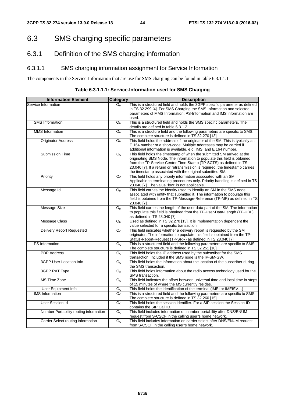### 6.3 SMS charging specific parameters

### 6.3.1 Definition of the SMS charging information

#### 6.3.1.1 SMS charging information assignment for Service Information

The components in the Service-Information that are use for SMS charging can be found in table 6.3.1.1.1

| Table 6.3.1.1.1: Service-Information used for SMS Charging |  |
|------------------------------------------------------------|--|
|------------------------------------------------------------|--|

| <b>Information Element</b>             | Category           | <b>Description</b>                                                                                                                                                                                                                                                                                                                                                 |
|----------------------------------------|--------------------|--------------------------------------------------------------------------------------------------------------------------------------------------------------------------------------------------------------------------------------------------------------------------------------------------------------------------------------------------------------------|
| Service Information                    | $O_M$              | This is a structured field and holds the 3GPP specific parameter as defined<br>in TS 32.299 [4]. For SMS Charging the SMS-Information and selected<br>parameters of MMS Information, PS-Information and IMS information are<br>used.                                                                                                                               |
| <b>SMS</b> Information                 | $O_M$              | This is a structured field and holds the SMS specific parameters. The<br>details are defined in table 6.3.1.2.                                                                                                                                                                                                                                                     |
| <b>MMS</b> Information                 | $O_M$              | This is a structure field and the following parameters are specific to SMS.<br>The complete structure is defined in TS 32.270 [13]                                                                                                                                                                                                                                 |
| <b>Originator Address</b>              | $O_{M}$            | This field holds the address of the originator of the SM. This is typically an<br>E.164 number or a short-code. Multiple addresses may be carried if<br>additional information is available, e.g. IMSI and E.164 number.                                                                                                                                           |
| Submission Time                        | O <sub>c</sub>     | This field holds the timestamp of when the submitted SM arrived at the<br>originating SMS Node. The information to populate this field is obtained<br>from the TP-Service-Center-Time-Stamp (TP-SCTS) as defined in TS<br>23.040 [7]. If a refund or retransmission is required, the timestamp carries<br>the timestamp associated with the original submitted SM. |
| Priority                               | O <sub>c</sub>     | This field holds any priority information associated with an SM.<br>Applicable to terminating procedures only. Priority handling is defined in TS<br>23.040 [7]. The value "low" is not applicable.                                                                                                                                                                |
| Message Id                             | $O_M$              | This field carries the identity used to identify an SM in the SMS node<br>associated with entity that submitted it. The information to populate this<br>field is obtained from the TP-Message-Reference (TP-MR) as defined in TS<br>23.040 [7].                                                                                                                    |
| Message Size                           | $O_M$              | This field carries the length of the user data part of the SM. The information<br>to populate this field is obtained from the TP-User-Data-Length (TP-UDL)<br>as defined in TS 23.040 [7]                                                                                                                                                                          |
| <b>Message Class</b>                   | $O_M$              | Used as defined in TS 32.270 [13]. It is implementation dependent the<br>value selected for a specific transaction.                                                                                                                                                                                                                                                |
| <b>Delivery Report Requested</b>       | $O_{C}$            | This field indicates whether a delivery report is requested by the SM<br>originator. The information to populate this field is obtained from the TP-<br>Status-Report-Request (TP-SRR) as defined in TS 23.040 [7]                                                                                                                                                 |
| PS Information                         | $\overline{O_{C}}$ | This is a structured field and the following parameters are specific to SMS.<br>The complete structure is defined in TS 32.251 [10].                                                                                                                                                                                                                               |
| <b>PDP</b> Address                     | $\overline{O_{C}}$ | This field holds the IP address used by the subscriber for the SMS<br>transaction. Included if the SMS node is the IP-SM-GW.                                                                                                                                                                                                                                       |
| 3GPP User Location Info                | O <sub>c</sub>     | This field holds the information about the location of the subscriber during<br>the SMS transaction.                                                                                                                                                                                                                                                               |
| <b>3GPP RAT Type</b>                   | O <sub>c</sub>     | This field holds information about the radio access technology used for the<br>SMS transaction.                                                                                                                                                                                                                                                                    |
| <b>MS Time Zone</b>                    | $O_{C}$            | This field indicates the offset between universal time and local time in steps<br>of 15 minutes of where the MS currently resides.                                                                                                                                                                                                                                 |
| User Equipment Info                    | O <sub>c</sub>     | This field holds the identification of the terminal (IMEI or IMEISV)                                                                                                                                                                                                                                                                                               |
| <b>IMS</b> Information                 | O <sub>c</sub>     | This is a structured field and the following parameters are specific to SMS.<br>The complete structure is defined in TS 32.260 [15].                                                                                                                                                                                                                               |
| User Session Id                        | $\overline{O_{C}}$ | This field holds the session identifier. For a SIP session the Session-ID<br>contains the SIP Call ID.                                                                                                                                                                                                                                                             |
| Number Portability routing information | O <sub>C</sub>     | This field includes information on number portability after DNS/ENUM<br>request from S-CSCF in the calling user"s home network.                                                                                                                                                                                                                                    |
| Carrier Select routing information     | O <sub>c</sub>     | This field includes information on carrier select after DNS/ENUM request<br>from S-CSCF in the calling user"s home network.                                                                                                                                                                                                                                        |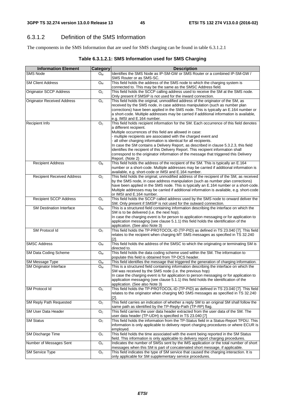### 6.3.1.2 Definition of the SMS Information

The components in the SMS Information that are used for SMS charging can be found in table 6.3.1.2.1

| Table 6.3.1.2.1: SMS Information used for SMS Charging |  |
|--------------------------------------------------------|--|
|--------------------------------------------------------|--|

| <b>Information Element</b>                        | <b>Category</b>           | <b>Description</b>                                                                                                                                                                                                                                                                                                                                                                                                                                                                                                                                                                                               |
|---------------------------------------------------|---------------------------|------------------------------------------------------------------------------------------------------------------------------------------------------------------------------------------------------------------------------------------------------------------------------------------------------------------------------------------------------------------------------------------------------------------------------------------------------------------------------------------------------------------------------------------------------------------------------------------------------------------|
| <b>SMS Node</b>                                   | $O_{M}$                   | Identifies the SMS Node as IP-SM-GW or SMS Router or a combined IP-SM-GW /<br>SMS Router or as SMS-SC.                                                                                                                                                                                                                                                                                                                                                                                                                                                                                                           |
| <b>SM Client Address</b>                          | $O_{M}$                   | This field holds the address of the SMS node to which the charging system is<br>connected to. This may be the same as the SMSC Address field.                                                                                                                                                                                                                                                                                                                                                                                                                                                                    |
| <b>Originator SCCP Address</b>                    | $\overline{O}_C$          | This field holds the SCCP calling address used to receive the SM at the SMS node.<br>Only present if SMSIP is not used for the inward connection.                                                                                                                                                                                                                                                                                                                                                                                                                                                                |
| <b>Originator Received Address</b>                | O <sub>c</sub>            | This field holds the original, unmodified address of the originator of the SM, as<br>received by the SMS node, in case address manipulation (such as number plan<br>corrections) have been applied in the SMS node. This is typically an E.164 number or<br>a short-code. Multiple addresses may be carried if additional information is available,<br>e.g. IMSI and E.164 number.                                                                                                                                                                                                                               |
| Recipient Info                                    | O <sub>C</sub>            | This field holds recipient information for the SM. Each occurrence of this field denotes<br>a different recipient.<br>Multiple occurrences of this field are allowed in case:<br>- multiple recipients are associated with the charged event and<br>- all other charging information is identical for all recipients.<br>In case the SM contains a Delivery Report, as described in clause 5.3.2.3, this field<br>identifies the recipient of this Delivery Report. This recipient information shall<br>correspond to the originator information of the message that triggered this Delivery<br>Report. (Note 2) |
| <b>Recipient Address</b>                          | O <sub>c</sub>            | This field holds the address of the recipient of the SM. This is typically an E.164<br>number or a short-code. Multiple addresses may be carried if additional information is<br>available, e.g. short-code or IMSI and E.164 number.                                                                                                                                                                                                                                                                                                                                                                            |
| <b>Recipient Received Address</b>                 | O <sub>c</sub>            | This field holds the original, unmodified address of the recipient of the SM, as received<br>by the SMS node, in case address manipulation (such as number plan corrections)<br>have been applied in the SMS node. This is typically an E.164 number or a short-code.<br>Multiple addresses may be carried if additional information is available, e.g. short-code<br>or IMSI and E.164 number.                                                                                                                                                                                                                  |
| <b>Recipient SCCP Address</b>                     | O <sub>c</sub>            | This field holds the SCCP called address used by the SMS node to onward deliver the<br>SM. Only present if SMSIP is not used for the outward connection.                                                                                                                                                                                                                                                                                                                                                                                                                                                         |
| <b>SM Destination Interface</b>                   | $O_M$                     | This is a structured field containing information describing the interface on which the<br>SM is to be delivered (i.e. the next hop).<br>In case the charging event is for person to application messaging or for application to<br>application messaging (see clause 5.1.1) this field holds the identification of the<br>application. (See also Note 3)                                                                                                                                                                                                                                                        |
| SM Protocol Id                                    | O <sub>c</sub>            | This field holds the TP-PROTOCOL-ID (TP-PID) as defined in TS 23.040 [7]. This field<br>relates to the recipient when charging MT SMS messages as specified in TS 32.240<br>[2]                                                                                                                                                                                                                                                                                                                                                                                                                                  |
| <b>SMSC Address</b>                               | $O_M$                     | This field holds the address of the SMSC to which the originating or terminating SM is<br>directed to.                                                                                                                                                                                                                                                                                                                                                                                                                                                                                                           |
| SM Data Coding Scheme                             | $O_{M}$                   | This field holds the data coding scheme used within the SM. The information to<br>populate this field is obtained from TP-DCS header.                                                                                                                                                                                                                                                                                                                                                                                                                                                                            |
| SM Message Type<br><b>SM Originator Interface</b> | $O_{M}$<br>$O_{M}$        | This field identifies the message that triggered the generation of charging information.<br>This is a structured field containing information describing the interface on which the<br>SM was received by the SMS node (i.e. the previous hop)<br>In case the charging event is for application to person messaging or for application to<br>application messaging (see clause 5.1.1) this field holds the identification of the<br>application. (See also Note 3)                                                                                                                                               |
| SM Protocol Id                                    | O <sub>c</sub>            | This field holds the TP-PROTOCOL-ID (TP-PID) as defined in TS 23.040 [7]. This field<br>relates to the originator when charging MO SMS messages as specified in TS 32.240<br>$[2]$ .                                                                                                                                                                                                                                                                                                                                                                                                                             |
| <b>SM Reply Path Requested</b>                    | O <sub>c</sub>            | This field carries an indication of whether a reply SM to an original SM shall follow the<br>same path as identified by the TP-Reply-Path (TP-RP) flag.                                                                                                                                                                                                                                                                                                                                                                                                                                                          |
| <b>SM User Data Header</b>                        | O <sub>C</sub>            | This field carries the user data header extracted from the user data of the SM. The<br>user data header (TP-UDH) is specified in TS 23.040 [7]                                                                                                                                                                                                                                                                                                                                                                                                                                                                   |
| <b>SM Status</b>                                  | $\mathsf{O}_{\mathbb{C}}$ | This field holds the information from the TP-Status field in a Status-Report TPDU. This<br>information is only applicable to delivery report charging procedures or where ECUR is<br>employed.                                                                                                                                                                                                                                                                                                                                                                                                                   |
| <b>SM Discharge Time</b>                          | O <sub>c</sub>            | This field holds the time associated with the event being reported in the SM Status<br>field. This information is only applicable to delivery report charging procedures.                                                                                                                                                                                                                                                                                                                                                                                                                                        |
| Number of Messages Sent                           | O <sub>C</sub>            | Indicates the number of SMSs sent by the IMS application or the total number of short<br>messages when this SM is part of concatenated short message, if applicable.                                                                                                                                                                                                                                                                                                                                                                                                                                             |
| <b>SM Service Type</b>                            | $\overline{O_{C}}$        | This field indicates the type of SM service that caused the charging interaction. It is<br>only applicable for SM supplementary service procedures.                                                                                                                                                                                                                                                                                                                                                                                                                                                              |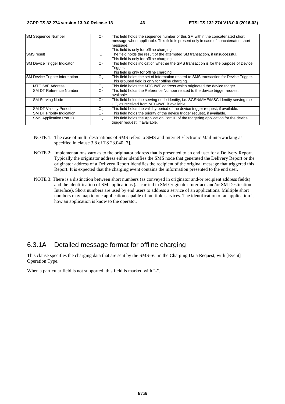| <b>SM Sequence Number</b>          | O <sub>c</sub> | This field holds the sequence number of this SM within the concatenated short<br>message when applicable. This field is present only in case of concatenated short<br>message.<br>This field is only for offline charging. |
|------------------------------------|----------------|----------------------------------------------------------------------------------------------------------------------------------------------------------------------------------------------------------------------------|
| <b>SMS</b> result                  | С              | The field holds the result of the attempted SM transaction, if unsuccessful.<br>This field is only for offline charging.                                                                                                   |
| <b>SM Device Trigger Indicator</b> | O <sub>c</sub> | This field holds indication whether the SMS transaction is for the purpose of Device<br>Trigger.<br>This field is only for offline charging.                                                                               |
| SM Device Trigger information      | O <sub>c</sub> | This field holds the set of information related to SMS transaction for Device Trigger.<br>This grouped field is only for offline charging.                                                                                 |
| <b>MTC IWF Address</b>             | $O_{C}$        | This field holds the MTC IWF address which originated the device trigger.                                                                                                                                                  |
| <b>SM DT Reference Number</b>      | O <sub>c</sub> | This field holds the Reference Number related to the device trigger request, if<br>available.                                                                                                                              |
| <b>SM Serving Node</b>             | O <sub>c</sub> | This field holds the serving node identity, i.e. SGSN/MME/MSC identity serving the<br>UE, as received from MTC-IWF, if available.                                                                                          |
| <b>SM DT Validity Period</b>       | O <sub>C</sub> | This field holds the validity period of the device trigger request, if available.                                                                                                                                          |
| <b>SM DT Priority Indication</b>   | O <sub>C</sub> | This field holds the priority of the device trigger request, if available.                                                                                                                                                 |
| <b>SMS Application Port ID</b>     | O <sub>C</sub> | This field holds the Application Port ID of the triggering application for the device<br>trigger request, if available.                                                                                                    |

- NOTE 1: The case of multi-destinations of SMS refers to SMS and Internet Electronic Mail interworking as specified in clause 3.8 of TS 23.040 [7].
- NOTE 2: Implementations vary as to the originator address that is presented to an end user for a Delivery Report. Typically the originator address either identifies the SMS node that generated the Delivery Report or the originator address of a Delivery Report identifies the recipient of the original message that triggered this Report. It is expected that the charging event contains the information presented to the end user.
- NOTE 3: There is a distinction between short numbers (as conveyed in originator and/or recipient address fields) and the identification of SM applications (as carried in SM Originator Interface and/or SM Destination Interface). Short numbers are used by end users to address a service of an applications. Multiple short numbers may map to one application capable of multiple services. The identification of an application is how an application is know to the operator.

#### 6.3.1A Detailed message format for offline charging

This clause specifies the charging data that are sent by the SMS-SC in the Charging Data Request, with [Event] Operation Type.

When a particular field is not supported, this field is marked with "-".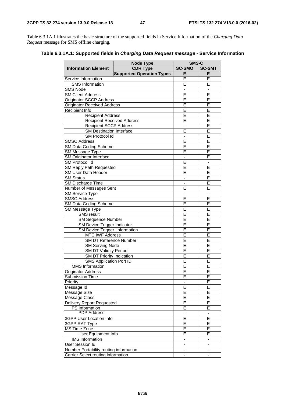Table 6.3.1A.1 illustrates the basic structure of the supported fields in Service Information of the *Charging Data Request* message for SMS offline charging.

**Table 6.3.1A.1: Supported fields in** *Charging Data Request message -* **Service Information** 

|                                                          | <b>Node Type</b>                 | SMS-C                        |                          |  |
|----------------------------------------------------------|----------------------------------|------------------------------|--------------------------|--|
| <b>Information Element</b>                               | <b>CDR Type</b>                  | <b>SC-SMO</b>                | <b>SC-SMT</b>            |  |
|                                                          | <b>Supported Operation Types</b> | Е                            | E                        |  |
| Service Information                                      |                                  | E                            | E                        |  |
| <b>SMS</b> Information                                   | E                                | E                            |                          |  |
| <b>SMS Node</b>                                          | $\overline{\phantom{a}}$         | -                            |                          |  |
| <b>SM Client Address</b>                                 | Ē                                | E                            |                          |  |
| Originator SCCP Address                                  |                                  | E                            | E                        |  |
| <b>Originator Received Address</b>                       |                                  | E                            | E                        |  |
| Recipient Info                                           |                                  | E                            | E                        |  |
| <b>Recipient Address</b>                                 |                                  | E                            | E                        |  |
| <b>Recipient Received Address</b>                        |                                  | E                            | E                        |  |
| <b>Recipient SCCP Address</b>                            |                                  |                              | Ē                        |  |
| <b>SM Destination Interface</b>                          |                                  | E                            | E                        |  |
| SM Protocol Id                                           |                                  | -                            | Ε                        |  |
| <b>SMSC Address</b>                                      |                                  | E                            | E                        |  |
| <b>SM Data Coding Scheme</b>                             |                                  | E                            | Ē                        |  |
| SM Message Type                                          |                                  | E                            | E                        |  |
| SM Originator Interface                                  |                                  | $\overline{\phantom{a}}$     | Ē                        |  |
| SM Protocol Id                                           |                                  | E                            | $\overline{\phantom{a}}$ |  |
| <b>SM Reply Path Requested</b>                           |                                  | E                            | E                        |  |
| SM User Data Header                                      |                                  | E                            | E                        |  |
| <b>SM Status</b>                                         |                                  |                              | E                        |  |
| SM Discharge Time                                        |                                  | ÷,                           | E                        |  |
| Number of Messages Sent                                  |                                  | E                            | E                        |  |
| <b>SM Service Type</b>                                   |                                  | -                            |                          |  |
| <b>SMSC Address</b>                                      |                                  | E                            | E                        |  |
| <b>SM Data Coding Scheme</b>                             |                                  | E                            | E                        |  |
| SM Message Type                                          | E                                | E                            |                          |  |
| <b>SMS</b> result                                        |                                  | E                            | E                        |  |
| <b>SM Sequence Number</b>                                |                                  | E                            | E                        |  |
| SM Device Trigger Indicator                              |                                  | E                            | E                        |  |
| SM Device Trigger information                            |                                  | E                            | E                        |  |
| <b>MTC IWF Address</b>                                   |                                  | E                            | Ē                        |  |
| SM DT Reference Number                                   |                                  | E                            | E                        |  |
| <b>SM Serving Node</b>                                   |                                  | E<br>Ē                       | Ε<br>E                   |  |
| <b>SM DT Validity Period</b>                             |                                  | Ē                            | E                        |  |
| SM DT Priority Indication                                |                                  | Ē                            | $\overline{\mathsf{E}}$  |  |
| <b>SMS Application Port ID</b><br><b>MMS</b> Information |                                  | E                            |                          |  |
| Originator Address                                       |                                  | E                            | Ε<br>E                   |  |
|                                                          |                                  |                              |                          |  |
| Submission Time<br>Priority                              |                                  | E<br>$\blacksquare$          | E<br>Ē                   |  |
| Message Id                                               |                                  | E                            | E                        |  |
| Message Size                                             |                                  | E                            | E                        |  |
| Message Class                                            |                                  | E                            | Ε                        |  |
| <b>Delivery Report Requested</b>                         |                                  | E                            | E                        |  |
| PS Information                                           |                                  | E                            | E                        |  |
| <b>PDP</b> Address                                       | -                                |                              |                          |  |
| 3GPP User Location Info                                  | Ē                                | E                            |                          |  |
| 3GPP RAT Type                                            | E                                | E                            |                          |  |
| <b>MS Time Zone</b>                                      | E                                | Ε                            |                          |  |
| <b>User Equipment Info</b>                               | E                                | E                            |                          |  |
| <b>IMS</b> Information                                   | $\blacksquare$                   | $\frac{1}{2}$                |                          |  |
| User Session Id                                          |                                  |                              |                          |  |
| Number Portability routing information                   | $\overline{\phantom{0}}$         | $\qquad \qquad \blacksquare$ |                          |  |
| Carrier Select routing information                       |                                  | $\overline{\phantom{a}}$     | -                        |  |
|                                                          |                                  |                              |                          |  |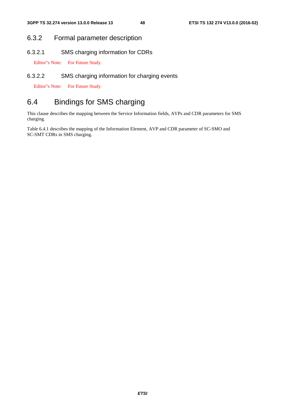### 6.3.2 Formal parameter description

6.3.2.1 SMS charging information for CDRs

Editor"s Note: For Future Study.

#### 6.3.2.2 SMS charging information for charging events

Editor"s Note: For Future Study.

### 6.4 Bindings for SMS charging

This clause describes the mapping between the Service Information fields, AVPs and CDR parameters for SMS charging.

Table 6.4.1 describes the mapping of the Information Element, AVP and CDR parameter of SC-SMO and SC-SMT CDRs in SMS charging.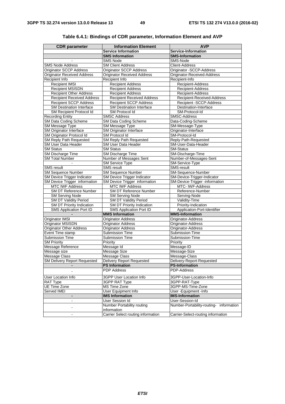| <b>CDR</b> parameter                       | <b>Information Element</b>                       | <b>AVP</b>                              |
|--------------------------------------------|--------------------------------------------------|-----------------------------------------|
|                                            | <b>Service Information</b>                       | Service-Information                     |
|                                            | <b>SMS Information</b>                           | <b>SMS-Information</b>                  |
|                                            | <b>SMS Node</b>                                  | SMS-Node                                |
| <b>SMS Node Address</b>                    | <b>SM Client Address</b>                         | Client-Address                          |
| <b>Originator SCCP Address</b>             | Originator SCCP Address                          | Originator - SCCP-Address               |
| <b>Originator Received Address</b>         | <b>Originator Received Address</b>               | Originator-Received-Address             |
| Recipient Info                             | Recipient Info                                   | Recipient-Info                          |
| Recipient IMSI                             | <b>Recipient Address</b>                         | Recipient-Address                       |
| <b>Recipient MSISDN</b>                    | <b>Recipient Address</b>                         | <b>Recipient-Address</b>                |
| <b>Recipient Other Address</b>             | <b>Recipient Address</b>                         | <b>Recipient-Address</b>                |
| <b>Recipient Received Address</b>          | <b>Recipient Received Address</b>                | Recipient-Received-Address              |
| <b>Recipient SCCP Address</b>              | <b>Recipient SCCP Address</b>                    | Recipient -SCCP-Address                 |
| <b>SM Destination Interface</b>            | <b>SM Destination Interface</b>                  | Destination-Interface                   |
| SM Recipient Protocol Id                   | SM Protocol Id                                   | SM-Protocol-Id                          |
| <b>Recording Entity</b>                    | <b>SMSC Address</b>                              | SMSC-Address                            |
| SM Data Coding Scheme                      | SM Data Coding Scheme                            | Data-Coding-Scheme                      |
| SM Message Type                            | SM Message Type                                  | SM-Message-Type                         |
| SM Originator Interface                    | SM Originator Interface                          | Originator-Interface                    |
| SM Originator Protocol Id                  | SM Protocol Id                                   | SM-Protocol-Id                          |
| <b>SM Reply Path Requested</b>             | SM Reply Path Requested                          | Reply-Path-Requested                    |
| <b>SM User Data Header</b>                 | SM User Data Header                              | SM-User-Data-Header                     |
| <b>SM Status</b>                           | <b>SM Status</b>                                 | <b>SM-Status</b>                        |
| <b>SM Discharge Time</b>                   | <b>SM Discharge Time</b>                         | SM-Discharge-Time                       |
| <b>SM Total Number</b>                     | Number of Messages Sent                          | Number-of-Messages-Sent                 |
|                                            | <b>SM Service Type</b>                           | SM-Service-Type                         |
| <b>SMS</b> result                          | <b>SMS</b> result                                | <b>SMS-result</b>                       |
| <b>SM Sequence Number</b>                  | <b>SM Sequence Number</b>                        | SM-Sequence-Number                      |
| SM Device Trigger Indicator                | SM Device Trigger Indicator                      | SM-Device-Trigger-Indicator             |
| SM Device Trigger information              | SM Device Trigger information                    | SM-Device-Trigger -information          |
| <b>MTC IWF Address</b>                     | <b>MTC IWF Address</b>                           | MTC- IWF-Address                        |
| SM DT Reference Number                     | SM DT Reference Number                           | Reference-Number                        |
| <b>SM Serving Node</b>                     | <b>SM Serving Node</b>                           | Serving-Node                            |
| <b>SM DT Validity Period</b>               | <b>SM DT Validity Period</b>                     | Validity-Time                           |
| SM DT Priority Indication                  | SM DT Priority Indication                        | Priority-Indication                     |
| <b>SMS Application Port ID</b>             | SMS Application Port ID                          | Application-Port-Identifier             |
|                                            | <b>MMS Information</b>                           | <b>MMS-Information</b>                  |
| <b>Originator IMSI</b>                     | <b>Originator Address</b>                        | Originator-Address                      |
| <b>Originator MSISDN</b>                   | Originator Address                               | Originator-Address                      |
| <b>Originator Other Address</b>            | <b>Originator Address</b>                        | Originator-Address                      |
| Event Time stamp<br><b>Submission Time</b> | <b>Submission Time</b><br><b>Submission Time</b> | Submission-Time<br>Submission-Time      |
| <b>SM Priority</b>                         | Priority                                         | Priority                                |
| Message Reference                          | Message Id                                       | Message-ID                              |
|                                            |                                                  |                                         |
| Message size<br>Message Class              | Message Size<br>Message Class                    | Message-Size<br>Message-Class           |
| <b>SM Delivery Report Requested</b>        | <b>Delivery Report Requested</b>                 | Delivery-Report-Requested               |
|                                            | <b>PS Information</b>                            | <b>PS-Information</b>                   |
|                                            | <b>PDP Address</b>                               | PDP-Address                             |
|                                            |                                                  |                                         |
| User Location Info                         | 3GPP User Location Info                          | 3GPP-User-Location-Info                 |
| RAT Type                                   | 3GPP RAT Type                                    | 3GPP-RAT-Type                           |
| UE Time Zone                               | MS Time Zone                                     | 3GPP-MS-Time-Zone                       |
| Served IMEI                                | User Equipment Info                              | User - Equipment - Info                 |
| ۰                                          | <b>IMS Information</b>                           | <b>IMS-Information</b>                  |
| $\qquad \qquad \blacksquare$               | User Session Id                                  | User-Session-Id                         |
|                                            | Number Portability routing                       | Number-Portability-routing- information |
|                                            | information                                      |                                         |
| ۰                                          | Carrier Select routing information               | Carrier-Select-routing information      |

|  | Table 6.4.1: Bindings of CDR parameter, Information Element and AVP |
|--|---------------------------------------------------------------------|
|--|---------------------------------------------------------------------|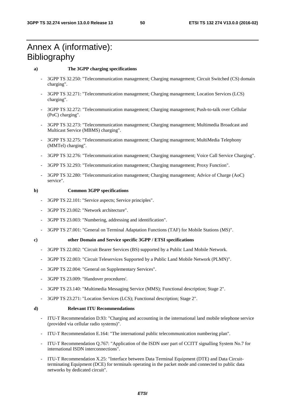### Annex A (informative): **Bibliography**

#### **a) The 3GPP charging specifications**

- 3GPP TS 32.250: "Telecommunication management; Charging management; Circuit Switched (CS) domain charging".
- 3GPP TS 32.271: "Telecommunication management; Charging management; Location Services (LCS) charging".
- 3GPP TS 32.272: "Telecommunication management; Charging management; Push-to-talk over Cellular (PoC) charging".
- 3GPP TS 32.273: "Telecommunication management; Charging management; Multimedia Broadcast and Multicast Service (MBMS) charging".
- 3GPP TS 32.275: "Telecommunication management; Charging management; MultiMedia Telephony (MMTel) charging".
- 3GPP TS 32.276: "Telecommunication management; Charging management; Voice Call Service Charging".
- 3GPP TS 32.293: "Telecommunication management; Charging management; Proxy Function".
- 3GPP TS 32.280: "Telecommunication management; Charging management; Advice of Charge (AoC) service".

#### **b) Common 3GPP specifications**

- 3GPP TS 22.101: "Service aspects; Service principles".
- 3GPP TS 23.002: "Network architecture".
- 3GPP TS 23.003: "Numbering, addressing and identification".
- 3GPP TS 27.001: "General on Terminal Adaptation Functions (TAF) for Mobile Stations (MS)".

#### **c) other Domain and Service specific 3GPP / ETSI specifications**

- 3GPP TS 22.002: "Circuit Bearer Services (BS) supported by a Public Land Mobile Network.
- 3GPP TS 22.003: "Circuit Teleservices Supported by a Public Land Mobile Network (PLMN)".
- 3GPP TS 22.004: "General on Supplementary Services".
- 3GPP TS 23.009: "Handover procedures'.
- 3GPP TS 23.140: "Multimedia Messaging Service (MMS); Functional description; Stage 2".
- 3GPP TS 23.271: "Location Services (LCS); Functional description; Stage 2".

#### **d) Relevant ITU Recommendations**

- ITU-T Recommendation D.93: "Charging and accounting in the international land mobile telephone service (provided via cellular radio systems)".
- ITU-T Recommendation E.164: "The international public telecommunication numbering plan".
- ITU-T Recommendation Q.767: "Application of the ISDN user part of CCITT signalling System No.7 for international ISDN interconnections".
- ITU-T Recommendation X.25: "Interface between Data Terminal Equipment (DTE) and Data Circuitterminating Equipment (DCE) for terminals operating in the packet mode and connected to public data networks by dedicated circuit".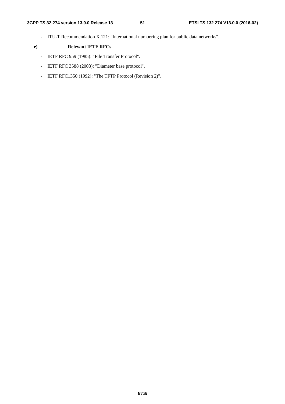- ITU-T Recommendation X.121: "International numbering plan for public data networks".

#### **e) Relevant IETF RFCs**

- IETF RFC 959 (1985): "File Transfer Protocol".
- IETF RFC 3588 (2003): "Diameter base protocol".
- IETF RFC1350 (1992): "The TFTP Protocol (Revision 2)".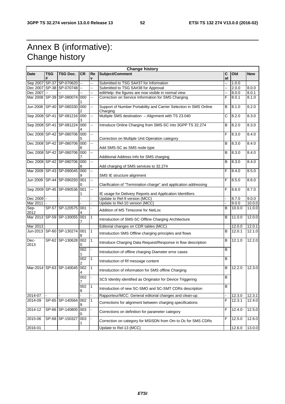### Annex B (informative): Change history

| <b>Change history</b> |                 |                              |                       |              |                                                                               |                |        |            |
|-----------------------|-----------------|------------------------------|-----------------------|--------------|-------------------------------------------------------------------------------|----------------|--------|------------|
| <b>Date</b>           | <b>TSG</b><br># | <b>TSG Doc.</b>              | <b>CR</b>             | Re<br>v      | Subject/Comment                                                               | C<br>at        | Old    | <b>New</b> |
| Sep 2007 SP-37        |                 | SP-070620                    | Ξ.                    | -−           | Submitted to TSG SA#37 for Information                                        | Ц,             | 1.0.0  |            |
|                       |                 | Dec 2007 SP-38 SP-070748     | $\mathbb{L}^2$        | --           | Submitted to TSG SA#38 for Approval                                           | --             | 2.0.0  | 8.0.0      |
| Dec 2007              |                 |                              |                       | Щ,           | editHelp: the figures are now visible in normal view                          | 44             | 8.0.0  | 8.0.1      |
|                       |                 | Mar 2008 SP-39 SP-080074     | 000                   | --           | Correction on Service Information for SMS Charging                            | F              | 8.0.1  | 8.1.0      |
|                       |                 | Jun 2008 SP-40 SP-080330     | 000<br>2              | Ξ.           | Support of Number Portability and Carrier Selection in SMS Online<br>Charging | B              | 8.1.0  | 8.2.0      |
|                       |                 | Sep 2008 SP-41 SP-081216 000 | 3                     | --           | Multiple SMS destination - Alignment with TS 23.040                           | С              | 8.2.0  | 8.3.0      |
|                       |                 | Sep 2008 SP-41 SP-081224     | 000                   | --           | Introduce Online Charging from SMS-SC into 3GPP TS 32.274                     | B              | 8.2.0  | 8.3.0      |
|                       |                 | Dec 2008 SP-42 SP-080706 000 | 5                     | 44           | Correction on Multiple Unit Operation category                                | F              | 8.3.0  | 8.4.0      |
|                       |                 | Dec 2008 SP-42 SP-080706     | 000<br>6              | Щ,           | Add SMS-SC as SMS node type                                                   | B              | 8.3.0  | 8.4.0      |
|                       |                 | Dec 2008 SP-42 SP-080706 000 |                       | Щ,           | Additional Address Info for SMS charging                                      | B              | 8.3.0  | 8.4.0      |
|                       |                 | Dec 2008 SP-42 SP-080706 000 | 8                     | Ξ.           | Add charging of SMS services to 32.274                                        | B              | 8.3.0  | 8.4.0      |
|                       |                 | Mar 2009 SP-43 SP-090045 000 | 9                     | --           | SMS IE structure alignment                                                    | F              | 8.4.0  | 8.5.0      |
|                       |                 | Jun 2009 SP-44 SP-090293 001 | 0                     | Щ,           | Clarification of "Termination charge" and application addressing              | F              | 8.5.0  | 8.6.0      |
|                       |                 | Sep 2009 SP-45 SP-090536     | 001                   | Щ.           | IE usage for Delivery Reports and Application Identifiers                     | F              | 8.6.0  | 8.7.0      |
| Dec 2009 -            |                 |                              |                       |              | Update to Rel-9 version (MCC)                                                 |                | 8.7.0  | 9.0.0      |
| Mar 2011              |                 |                              |                       |              | Update to Rel-10 version (MCC)                                                |                | 9.0.0  | 10.0.0     |
| Sep-<br>2012          |                 | SP-57 SP-120575 001          |                       |              | Addition of MS Timezone for NetLoc                                            | B              | 10.0.0 | 11.0.0     |
|                       |                 | Mar 2013 SP-59 SP-130055     | 001<br>7              | $\mathbf{1}$ | Introduction of SMS-SC Offline Charging Architecture                          | B              | 11.0.0 | 12.0.0     |
| Mar 2013              |                 |                              |                       |              | Editorial changes on CDR tables (MCC)                                         |                | 12.0.0 | 12.0.1     |
|                       |                 | Jun-2013 SP-60 SP-130274 001 | 8                     | $\mathbf{1}$ | Introduction SMS Offline charging principles and flows                        | B              | 12.0.1 | 12.1.0     |
| Dec-<br>2013          |                 | SP-62 SP-130628              | 002<br>0              | 1            | Introduce Charging Data Request/Response in flow description                  | B              | 12.1.0 | 12.2.0     |
|                       |                 |                              | 002                   |              | Introduction of offline charging Diameter error cases                         | $\overline{B}$ |        |            |
|                       |                 |                              | 002<br>2              | 1            | Introduction of Rf message content                                            | B              |        |            |
|                       |                 | Mar-2014 SP-63 SP-140045     | 002<br>4              | 1            | Introduction of information for SMS offline Charging                          | $\overline{B}$ | 12.2.0 | 12.3.0     |
|                       |                 |                              | 002<br>$\overline{7}$ |              | SCS Identity identified as Originator for Device Triggering                   | B              |        |            |
|                       |                 |                              | 002<br>8              | 1            | Introduction of new SC-SMO and SC-SMT CDRs description                        | $\overline{B}$ |        |            |
| $2014 - 07$           |                 |                              |                       |              | Rapporteur/MCC: General editorial changes and clean-up.                       |                | 12.3.0 | 12.3.1     |
| 2014-09               |                 | SP-65 SP-140564              | 002<br>9              | 1            | Corrections for alignment between charging specifications                     | F              | 12.3.1 | 12.4.0     |
| 2014-12               |                 | SP-66 SP-140805              | 003<br>0              |              | Corrections on definition for parameter category                              | F              | 12.4.0 | 12.5.0     |
| 2015-06               |                 | SP-68 SP-150327              | 003                   |              | Correction on category for MSISDN from Om to Oc for SMS CDRs                  | F              | 12.5.0 | 12.6.0     |
| 2016-01               |                 |                              |                       |              | Update to Rel-13 (MCC)                                                        |                | 12.6.0 | 13.0.0     |